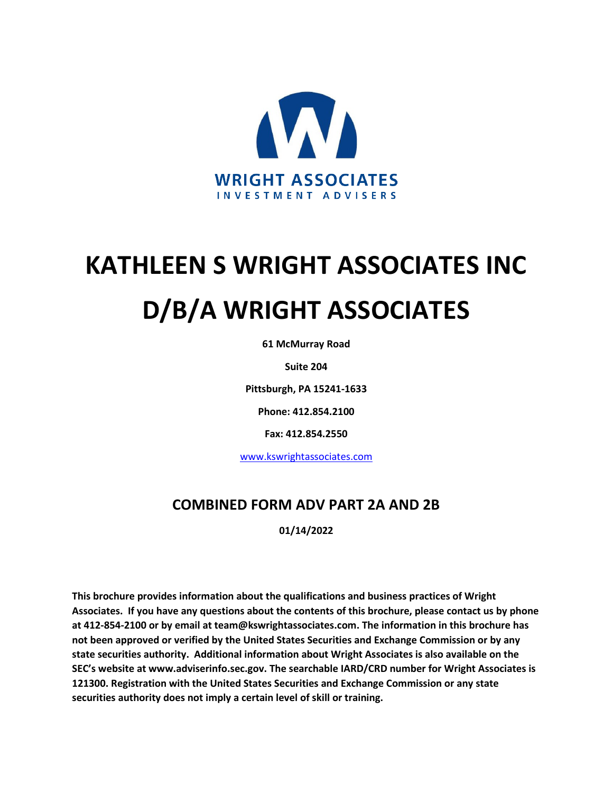

# **KATHLEEN S WRIGHT ASSOCIATES INC D/B/A WRIGHT ASSOCIATES**

**61 McMurray Road**

**Suite 204**

**Pittsburgh, PA 15241-1633**

**Phone: 412.854.2100**

**Fax: 412.854.2550**

[www.kswrightassociates.com](http://www.kswrightassociates.com/)

## **COMBINED FORM ADV PART 2A AND 2B**

**01/14/2022**

**This brochure provides information about the qualifications and business practices of Wright Associates. If you have any questions about the contents of this brochure, please contact us by phone at 412-854-2100 or by email at team@kswrightassociates.com. The information in this brochure has not been approved or verified by the United States Securities and Exchange Commission or by any state securities authority. Additional information about Wright Associates is also available on the SEC's website at www.adviserinfo.sec.gov. The searchable IARD/CRD number for Wright Associates is 121300. Registration with the United States Securities and Exchange Commission or any state securities authority does not imply a certain level of skill or training.**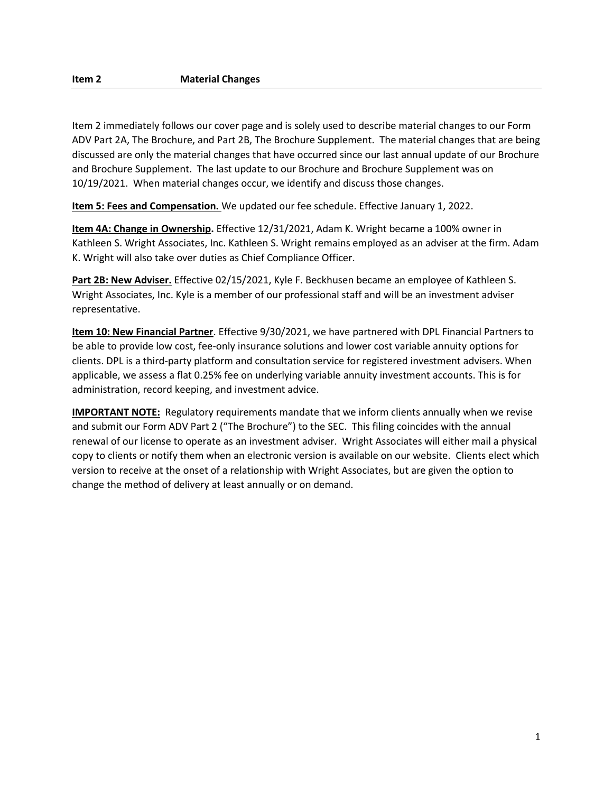Item 2 immediately follows our cover page and is solely used to describe material changes to our Form ADV Part 2A, The Brochure, and Part 2B, The Brochure Supplement. The material changes that are being discussed are only the material changes that have occurred since our last annual update of our Brochure and Brochure Supplement. The last update to our Brochure and Brochure Supplement was on 10/19/2021. When material changes occur, we identify and discuss those changes.

**Item 5: Fees and Compensation.** We updated our fee schedule. Effective January 1, 2022.

**Item 4A: Change in Ownership.** Effective 12/31/2021, Adam K. Wright became a 100% owner in Kathleen S. Wright Associates, Inc. Kathleen S. Wright remains employed as an adviser at the firm. Adam K. Wright will also take over duties as Chief Compliance Officer.

**Part 2B: New Adviser.** Effective 02/15/2021, Kyle F. Beckhusen became an employee of Kathleen S. Wright Associates, Inc. Kyle is a member of our professional staff and will be an investment adviser representative.

**Item 10: New Financial Partner**. Effective 9/30/2021, we have partnered with DPL Financial Partners to be able to provide low cost, fee-only insurance solutions and lower cost variable annuity options for clients. DPL is a third-party platform and consultation service for registered investment advisers. When applicable, we assess a flat 0.25% fee on underlying variable annuity investment accounts. This is for administration, record keeping, and investment advice.

**IMPORTANT NOTE:** Regulatory requirements mandate that we inform clients annually when we revise and submit our Form ADV Part 2 ("The Brochure") to the SEC. This filing coincides with the annual renewal of our license to operate as an investment adviser. Wright Associates will either mail a physical copy to clients or notify them when an electronic version is available on our website. Clients elect which version to receive at the onset of a relationship with Wright Associates, but are given the option to change the method of delivery at least annually or on demand.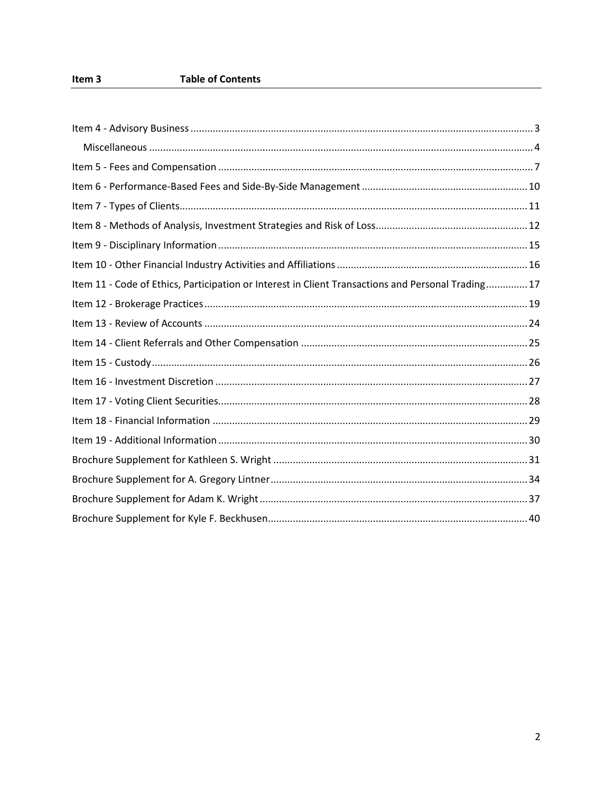| Item 11 - Code of Ethics, Participation or Interest in Client Transactions and Personal Trading17 |
|---------------------------------------------------------------------------------------------------|
|                                                                                                   |
|                                                                                                   |
|                                                                                                   |
|                                                                                                   |
|                                                                                                   |
|                                                                                                   |
|                                                                                                   |
|                                                                                                   |
|                                                                                                   |
|                                                                                                   |
|                                                                                                   |
|                                                                                                   |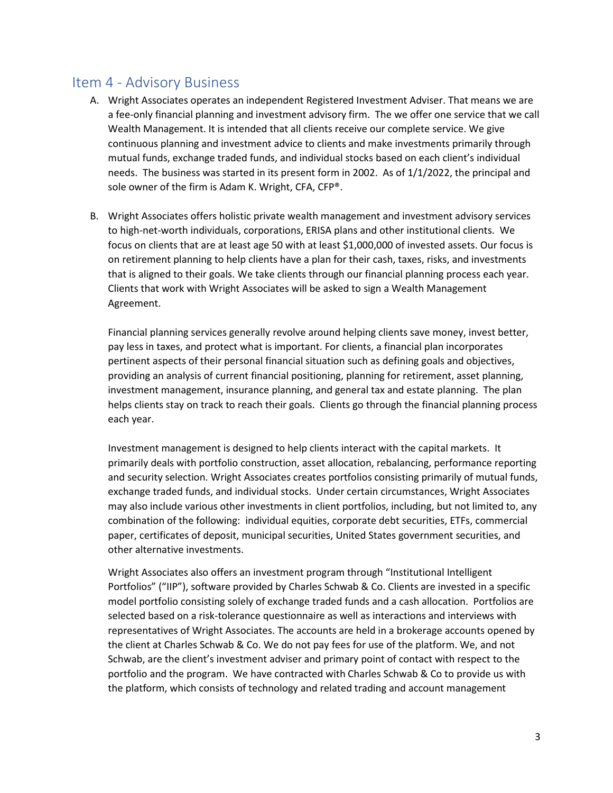### <span id="page-3-0"></span>Item 4 - Advisory Business

- A. Wright Associates operates an independent Registered Investment Adviser. That means we are a fee-only financial planning and investment advisory firm. The we offer one service that we call Wealth Management. It is intended that all clients receive our complete service. We give continuous planning and investment advice to clients and make investments primarily through mutual funds, exchange traded funds, and individual stocks based on each client's individual needs. The business was started in its present form in 2002. As of 1/1/2022, the principal and sole owner of the firm is Adam K. Wright, CFA, CFP®.
- B. Wright Associates offers holistic private wealth management and investment advisory services to high-net-worth individuals, corporations, ERISA plans and other institutional clients. We focus on clients that are at least age 50 with at least \$1,000,000 of invested assets. Our focus is on retirement planning to help clients have a plan for their cash, taxes, risks, and investments that is aligned to their goals. We take clients through our financial planning process each year. Clients that work with Wright Associates will be asked to sign a Wealth Management Agreement.

Financial planning services generally revolve around helping clients save money, invest better, pay less in taxes, and protect what is important. For clients, a financial plan incorporates pertinent aspects of their personal financial situation such as defining goals and objectives, providing an analysis of current financial positioning, planning for retirement, asset planning, investment management, insurance planning, and general tax and estate planning. The plan helps clients stay on track to reach their goals. Clients go through the financial planning process each year.

Investment management is designed to help clients interact with the capital markets. It primarily deals with portfolio construction, asset allocation, rebalancing, performance reporting and security selection. Wright Associates creates portfolios consisting primarily of mutual funds, exchange traded funds, and individual stocks. Under certain circumstances, Wright Associates may also include various other investments in client portfolios, including, but not limited to, any combination of the following: individual equities, corporate debt securities, ETFs, commercial paper, certificates of deposit, municipal securities, United States government securities, and other alternative investments.

Wright Associates also offers an investment program through "Institutional Intelligent Portfolios" ("IIP"), software provided by Charles Schwab & Co. Clients are invested in a specific model portfolio consisting solely of exchange traded funds and a cash allocation. Portfolios are selected based on a risk-tolerance questionnaire as well as interactions and interviews with representatives of Wright Associates. The accounts are held in a brokerage accounts opened by the client at Charles Schwab & Co. We do not pay fees for use of the platform. We, and not Schwab, are the client's investment adviser and primary point of contact with respect to the portfolio and the program. We have contracted with Charles Schwab & Co to provide us with the platform, which consists of technology and related trading and account management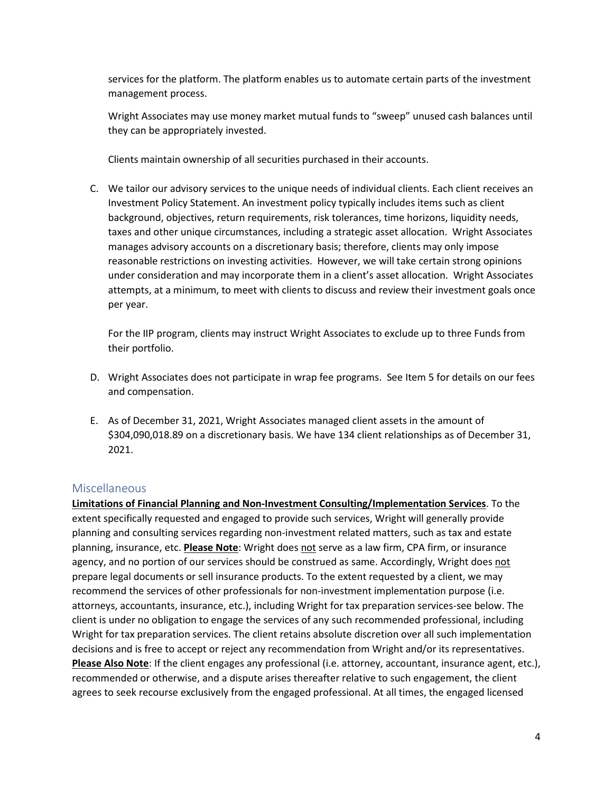services for the platform. The platform enables us to automate certain parts of the investment management process.

Wright Associates may use money market mutual funds to "sweep" unused cash balances until they can be appropriately invested.

Clients maintain ownership of all securities purchased in their accounts.

C. We tailor our advisory services to the unique needs of individual clients. Each client receives an Investment Policy Statement. An investment policy typically includes items such as client background, objectives, return requirements, risk tolerances, time horizons, liquidity needs, taxes and other unique circumstances, including a strategic asset allocation. Wright Associates manages advisory accounts on a discretionary basis; therefore, clients may only impose reasonable restrictions on investing activities. However, we will take certain strong opinions under consideration and may incorporate them in a client's asset allocation. Wright Associates attempts, at a minimum, to meet with clients to discuss and review their investment goals once per year.

For the IIP program, clients may instruct Wright Associates to exclude up to three Funds from their portfolio.

- D. Wright Associates does not participate in wrap fee programs. See Item 5 for details on our fees and compensation.
- E. As of December 31, 2021, Wright Associates managed client assets in the amount of \$304,090,018.89 on a discretionary basis. We have 134 client relationships as of December 31, 2021.

#### <span id="page-4-0"></span>Miscellaneous

**Limitations of Financial Planning and Non-Investment Consulting/Implementation Services**. To the extent specifically requested and engaged to provide such services, Wright will generally provide planning and consulting services regarding non-investment related matters, such as tax and estate planning, insurance, etc. **Please Note**: Wright does not serve as a law firm, CPA firm, or insurance agency, and no portion of our services should be construed as same. Accordingly, Wright does not prepare legal documents or sell insurance products. To the extent requested by a client, we may recommend the services of other professionals for non-investment implementation purpose (i.e. attorneys, accountants, insurance, etc.), including Wright for tax preparation services-see below. The client is under no obligation to engage the services of any such recommended professional, including Wright for tax preparation services. The client retains absolute discretion over all such implementation decisions and is free to accept or reject any recommendation from Wright and/or its representatives. **Please Also Note**: If the client engages any professional (i.e. attorney, accountant, insurance agent, etc.), recommended or otherwise, and a dispute arises thereafter relative to such engagement, the client agrees to seek recourse exclusively from the engaged professional. At all times, the engaged licensed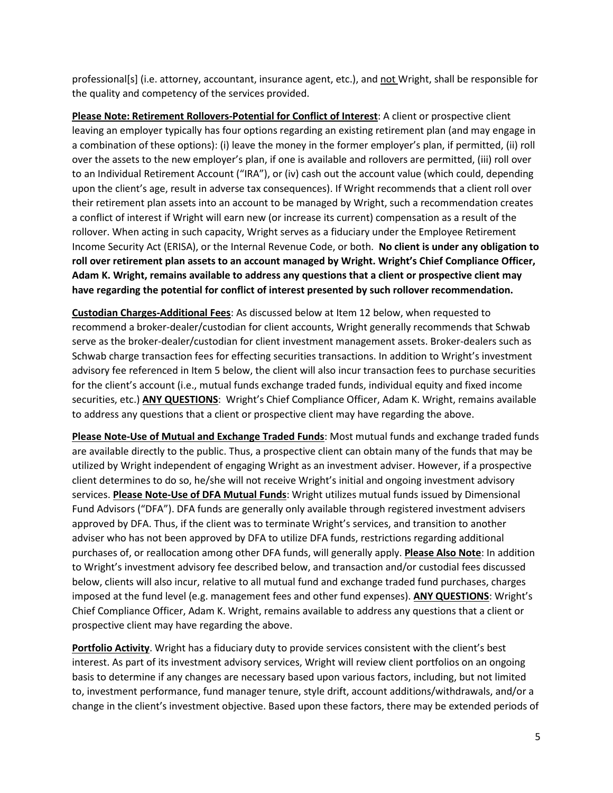professional[s] (i.e. attorney, accountant, insurance agent, etc.), and not Wright, shall be responsible for the quality and competency of the services provided.

**Please Note: Retirement Rollovers-Potential for Conflict of Interest**: A client or prospective client leaving an employer typically has four options regarding an existing retirement plan (and may engage in a combination of these options): (i) leave the money in the former employer's plan, if permitted, (ii) roll over the assets to the new employer's plan, if one is available and rollovers are permitted, (iii) roll over to an Individual Retirement Account ("IRA"), or (iv) cash out the account value (which could, depending upon the client's age, result in adverse tax consequences). If Wright recommends that a client roll over their retirement plan assets into an account to be managed by Wright, such a recommendation creates a conflict of interest if Wright will earn new (or increase its current) compensation as a result of the rollover. When acting in such capacity, Wright serves as a fiduciary under the Employee Retirement Income Security Act (ERISA), or the Internal Revenue Code, or both. **No client is under any obligation to roll over retirement plan assets to an account managed by Wright. Wright's Chief Compliance Officer, Adam K. Wright, remains available to address any questions that a client or prospective client may have regarding the potential for conflict of interest presented by such rollover recommendation.**

**Custodian Charges-Additional Fees**: As discussed below at Item 12 below, when requested to recommend a broker-dealer/custodian for client accounts, Wright generally recommends that Schwab serve as the broker-dealer/custodian for client investment management assets. Broker-dealers such as Schwab charge transaction fees for effecting securities transactions. In addition to Wright's investment advisory fee referenced in Item 5 below, the client will also incur transaction fees to purchase securities for the client's account (i.e., mutual funds exchange traded funds, individual equity and fixed income securities, etc.) **ANY QUESTIONS**: Wright's Chief Compliance Officer, Adam K. Wright, remains available to address any questions that a client or prospective client may have regarding the above.

**Please Note-Use of Mutual and Exchange Traded Funds**: Most mutual funds and exchange traded funds are available directly to the public. Thus, a prospective client can obtain many of the funds that may be utilized by Wright independent of engaging Wright as an investment adviser. However, if a prospective client determines to do so, he/she will not receive Wright's initial and ongoing investment advisory services. **Please Note-Use of DFA Mutual Funds**: Wright utilizes mutual funds issued by Dimensional Fund Advisors ("DFA"). DFA funds are generally only available through registered investment advisers approved by DFA. Thus, if the client was to terminate Wright's services, and transition to another adviser who has not been approved by DFA to utilize DFA funds, restrictions regarding additional purchases of, or reallocation among other DFA funds, will generally apply. **Please Also Note**: In addition to Wright's investment advisory fee described below, and transaction and/or custodial fees discussed below, clients will also incur, relative to all mutual fund and exchange traded fund purchases, charges imposed at the fund level (e.g. management fees and other fund expenses). **ANY QUESTIONS**: Wright's Chief Compliance Officer, Adam K. Wright, remains available to address any questions that a client or prospective client may have regarding the above.

**Portfolio Activity**. Wright has a fiduciary duty to provide services consistent with the client's best interest. As part of its investment advisory services, Wright will review client portfolios on an ongoing basis to determine if any changes are necessary based upon various factors, including, but not limited to, investment performance, fund manager tenure, style drift, account additions/withdrawals, and/or a change in the client's investment objective. Based upon these factors, there may be extended periods of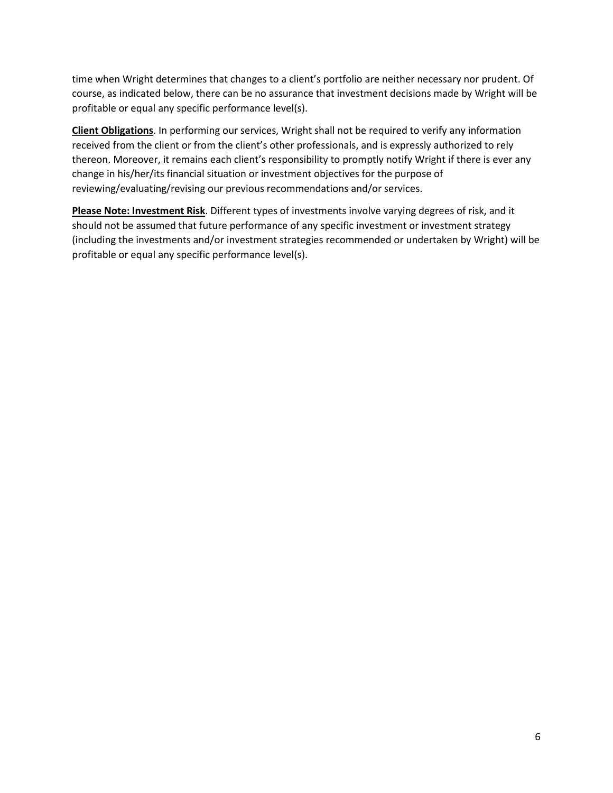time when Wright determines that changes to a client's portfolio are neither necessary nor prudent. Of course, as indicated below, there can be no assurance that investment decisions made by Wright will be profitable or equal any specific performance level(s).

**Client Obligations**. In performing our services, Wright shall not be required to verify any information received from the client or from the client's other professionals, and is expressly authorized to rely thereon. Moreover, it remains each client's responsibility to promptly notify Wright if there is ever any change in his/her/its financial situation or investment objectives for the purpose of reviewing/evaluating/revising our previous recommendations and/or services.

**Please Note: Investment Risk**. Different types of investments involve varying degrees of risk, and it should not be assumed that future performance of any specific investment or investment strategy (including the investments and/or investment strategies recommended or undertaken by Wright) will be profitable or equal any specific performance level(s).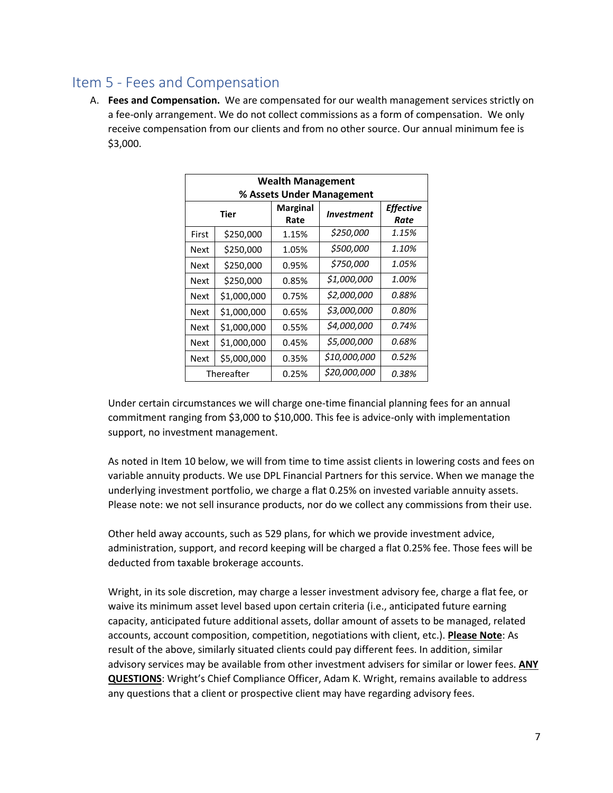## <span id="page-7-0"></span>Item 5 - Fees and Compensation

A. **Fees and Compensation.** We are compensated for our wealth management services strictly on a fee-only arrangement. We do not collect commissions as a form of compensation. We only receive compensation from our clients and from no other source. Our annual minimum fee is \$3,000.

| <b>Wealth Management</b>  |             |                         |                   |                          |  |
|---------------------------|-------------|-------------------------|-------------------|--------------------------|--|
| % Assets Under Management |             |                         |                   |                          |  |
| <b>Tier</b>               |             | <b>Marginal</b><br>Rate | <b>Investment</b> | <b>Effective</b><br>Rate |  |
| First                     | \$250,000   | 1.15%                   | \$250,000         | 1.15%                    |  |
| Next                      | \$250,000   | 1.05%                   | \$500,000         | 1.10%                    |  |
| Next                      | \$250,000   | 0.95%                   | \$750,000         | 1.05%                    |  |
| Next                      | \$250,000   | 0.85%                   | \$1,000,000       | 1.00%                    |  |
| Next                      | \$1,000,000 | 0.75%                   | \$2,000,000       | 0.88%                    |  |
| <b>Next</b>               | \$1,000,000 | 0.65%                   | \$3,000,000       | 0.80%                    |  |
| Next                      | \$1,000,000 | 0.55%                   | \$4,000,000       | 0.74%                    |  |
| Next                      | \$1,000,000 | 0.45%                   | \$5,000,000       | 0.68%                    |  |
| Next                      | \$5,000,000 | 0.35%                   | \$10,000,000      | 0.52%                    |  |
| Thereafter                |             | 0.25%                   | \$20,000,000      | 0.38%                    |  |

Under certain circumstances we will charge one-time financial planning fees for an annual commitment ranging from \$3,000 to \$10,000. This fee is advice-only with implementation support, no investment management.

As noted in Item 10 below, we will from time to time assist clients in lowering costs and fees on variable annuity products. We use DPL Financial Partners for this service. When we manage the underlying investment portfolio, we charge a flat 0.25% on invested variable annuity assets. Please note: we not sell insurance products, nor do we collect any commissions from their use.

Other held away accounts, such as 529 plans, for which we provide investment advice, administration, support, and record keeping will be charged a flat 0.25% fee. Those fees will be deducted from taxable brokerage accounts.

Wright, in its sole discretion, may charge a lesser investment advisory fee, charge a flat fee, or waive its minimum asset level based upon certain criteria (i.e., anticipated future earning capacity, anticipated future additional assets, dollar amount of assets to be managed, related accounts, account composition, competition, negotiations with client, etc.). **Please Note**: As result of the above, similarly situated clients could pay different fees. In addition, similar advisory services may be available from other investment advisers for similar or lower fees. **ANY QUESTIONS**: Wright's Chief Compliance Officer, Adam K. Wright, remains available to address any questions that a client or prospective client may have regarding advisory fees.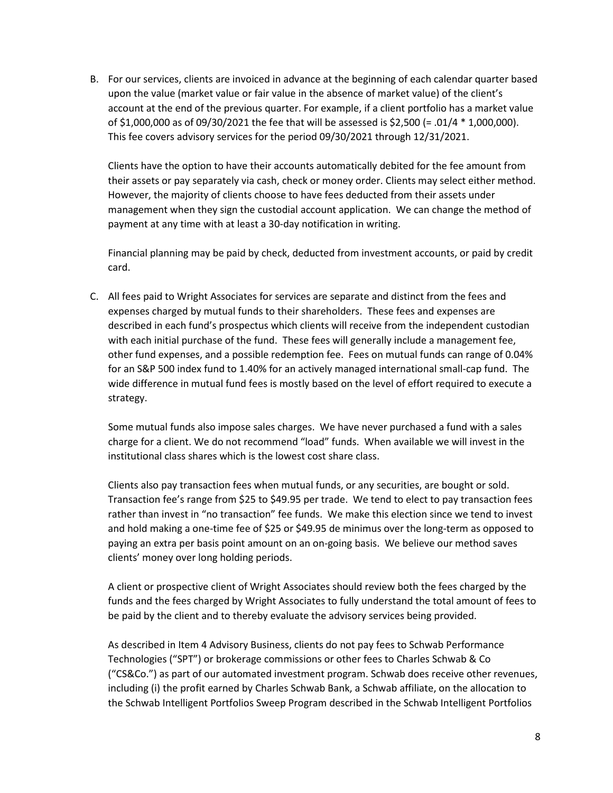B. For our services, clients are invoiced in advance at the beginning of each calendar quarter based upon the value (market value or fair value in the absence of market value) of the client's account at the end of the previous quarter. For example, if a client portfolio has a market value of \$1,000,000 as of 09/30/2021 the fee that will be assessed is \$2,500 (= .01/4 \* 1,000,000). This fee covers advisory services for the period 09/30/2021 through 12/31/2021.

Clients have the option to have their accounts automatically debited for the fee amount from their assets or pay separately via cash, check or money order. Clients may select either method. However, the majority of clients choose to have fees deducted from their assets under management when they sign the custodial account application. We can change the method of payment at any time with at least a 30-day notification in writing.

Financial planning may be paid by check, deducted from investment accounts, or paid by credit card.

C. All fees paid to Wright Associates for services are separate and distinct from the fees and expenses charged by mutual funds to their shareholders. These fees and expenses are described in each fund's prospectus which clients will receive from the independent custodian with each initial purchase of the fund. These fees will generally include a management fee, other fund expenses, and a possible redemption fee. Fees on mutual funds can range of 0.04% for an S&P 500 index fund to 1.40% for an actively managed international small-cap fund. The wide difference in mutual fund fees is mostly based on the level of effort required to execute a strategy.

Some mutual funds also impose sales charges. We have never purchased a fund with a sales charge for a client. We do not recommend "load" funds. When available we will invest in the institutional class shares which is the lowest cost share class.

Clients also pay transaction fees when mutual funds, or any securities, are bought or sold. Transaction fee's range from \$25 to \$49.95 per trade. We tend to elect to pay transaction fees rather than invest in "no transaction" fee funds. We make this election since we tend to invest and hold making a one-time fee of \$25 or \$49.95 de minimus over the long-term as opposed to paying an extra per basis point amount on an on-going basis. We believe our method saves clients' money over long holding periods.

A client or prospective client of Wright Associates should review both the fees charged by the funds and the fees charged by Wright Associates to fully understand the total amount of fees to be paid by the client and to thereby evaluate the advisory services being provided.

As described in Item 4 Advisory Business, clients do not pay fees to Schwab Performance Technologies ("SPT") or brokerage commissions or other fees to Charles Schwab & Co ("CS&Co.") as part of our automated investment program. Schwab does receive other revenues, including (i) the profit earned by Charles Schwab Bank, a Schwab affiliate, on the allocation to the Schwab Intelligent Portfolios Sweep Program described in the Schwab Intelligent Portfolios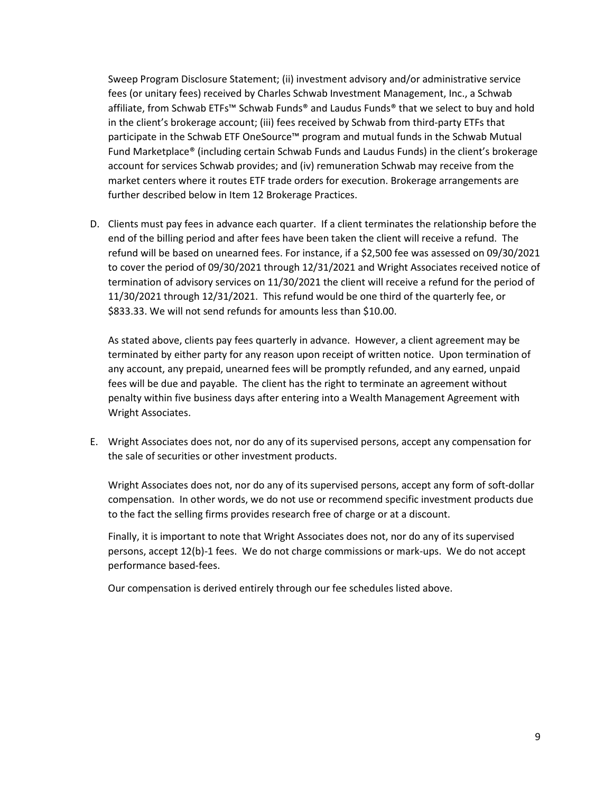Sweep Program Disclosure Statement; (ii) investment advisory and/or administrative service fees (or unitary fees) received by Charles Schwab Investment Management, Inc., a Schwab affiliate, from Schwab ETFs™ Schwab Funds® and Laudus Funds® that we select to buy and hold in the client's brokerage account; (iii) fees received by Schwab from third-party ETFs that participate in the Schwab ETF OneSource™ program and mutual funds in the Schwab Mutual Fund Marketplace® (including certain Schwab Funds and Laudus Funds) in the client's brokerage account for services Schwab provides; and (iv) remuneration Schwab may receive from the market centers where it routes ETF trade orders for execution. Brokerage arrangements are further described below in Item 12 Brokerage Practices.

D. Clients must pay fees in advance each quarter. If a client terminates the relationship before the end of the billing period and after fees have been taken the client will receive a refund. The refund will be based on unearned fees. For instance, if a \$2,500 fee was assessed on 09/30/2021 to cover the period of 09/30/2021 through 12/31/2021 and Wright Associates received notice of termination of advisory services on 11/30/2021 the client will receive a refund for the period of 11/30/2021 through 12/31/2021. This refund would be one third of the quarterly fee, or \$833.33. We will not send refunds for amounts less than \$10.00.

As stated above, clients pay fees quarterly in advance. However, a client agreement may be terminated by either party for any reason upon receipt of written notice. Upon termination of any account, any prepaid, unearned fees will be promptly refunded, and any earned, unpaid fees will be due and payable. The client has the right to terminate an agreement without penalty within five business days after entering into a Wealth Management Agreement with Wright Associates.

E. Wright Associates does not, nor do any of its supervised persons, accept any compensation for the sale of securities or other investment products.

Wright Associates does not, nor do any of its supervised persons, accept any form of soft-dollar compensation. In other words, we do not use or recommend specific investment products due to the fact the selling firms provides research free of charge or at a discount.

Finally, it is important to note that Wright Associates does not, nor do any of its supervised persons, accept 12(b)-1 fees. We do not charge commissions or mark-ups. We do not accept performance based-fees.

Our compensation is derived entirely through our fee schedules listed above.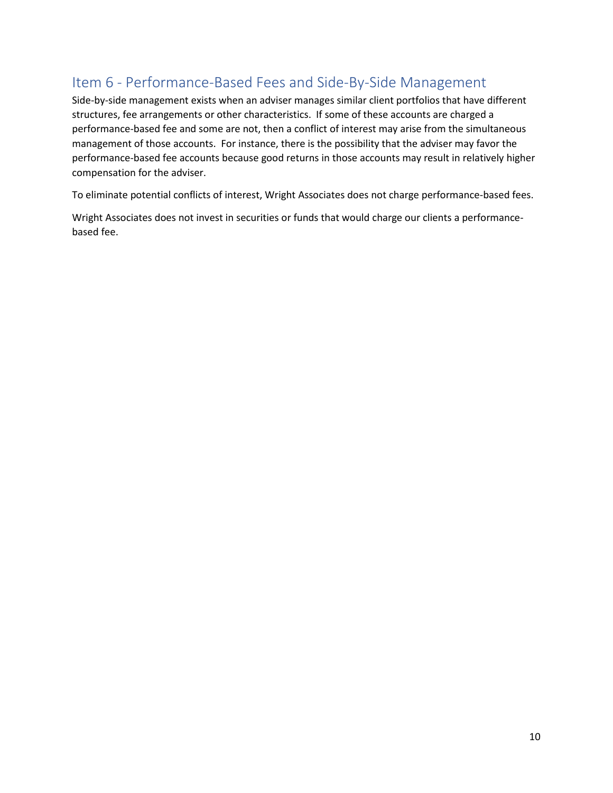## <span id="page-10-0"></span>Item 6 - Performance-Based Fees and Side-By-Side Management

Side-by-side management exists when an adviser manages similar client portfolios that have different structures, fee arrangements or other characteristics. If some of these accounts are charged a performance-based fee and some are not, then a conflict of interest may arise from the simultaneous management of those accounts. For instance, there is the possibility that the adviser may favor the performance-based fee accounts because good returns in those accounts may result in relatively higher compensation for the adviser.

To eliminate potential conflicts of interest, Wright Associates does not charge performance-based fees.

Wright Associates does not invest in securities or funds that would charge our clients a performancebased fee.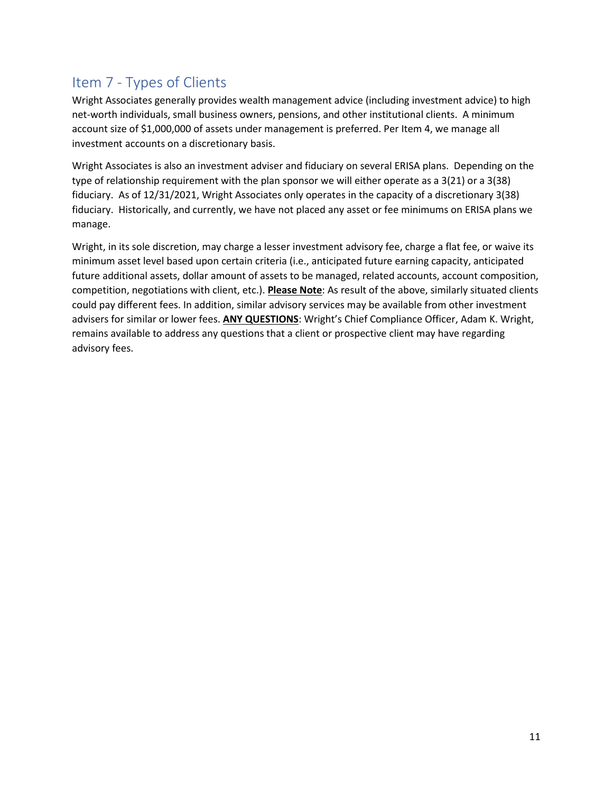## <span id="page-11-0"></span>Item 7 - Types of Clients

Wright Associates generally provides wealth management advice (including investment advice) to high net-worth individuals, small business owners, pensions, and other institutional clients. A minimum account size of \$1,000,000 of assets under management is preferred. Per Item 4, we manage all investment accounts on a discretionary basis.

Wright Associates is also an investment adviser and fiduciary on several ERISA plans. Depending on the type of relationship requirement with the plan sponsor we will either operate as a 3(21) or a 3(38) fiduciary. As of 12/31/2021, Wright Associates only operates in the capacity of a discretionary 3(38) fiduciary. Historically, and currently, we have not placed any asset or fee minimums on ERISA plans we manage.

Wright, in its sole discretion, may charge a lesser investment advisory fee, charge a flat fee, or waive its minimum asset level based upon certain criteria (i.e., anticipated future earning capacity, anticipated future additional assets, dollar amount of assets to be managed, related accounts, account composition, competition, negotiations with client, etc.). **Please Note**: As result of the above, similarly situated clients could pay different fees. In addition, similar advisory services may be available from other investment advisers for similar or lower fees. **ANY QUESTIONS**: Wright's Chief Compliance Officer, Adam K. Wright, remains available to address any questions that a client or prospective client may have regarding advisory fees.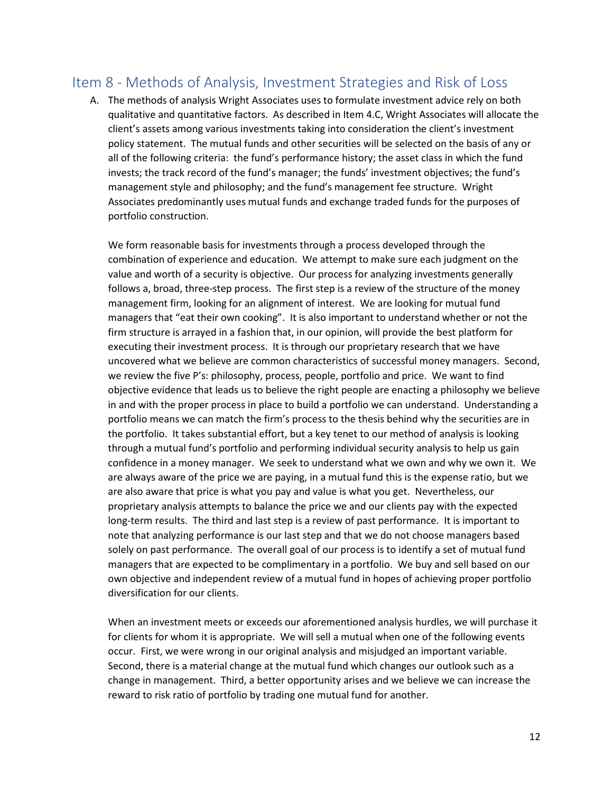## <span id="page-12-0"></span>Item 8 - Methods of Analysis, Investment Strategies and Risk of Loss

A. The methods of analysis Wright Associates uses to formulate investment advice rely on both qualitative and quantitative factors. As described in Item 4.C, Wright Associates will allocate the client's assets among various investments taking into consideration the client's investment policy statement. The mutual funds and other securities will be selected on the basis of any or all of the following criteria: the fund's performance history; the asset class in which the fund invests; the track record of the fund's manager; the funds' investment objectives; the fund's management style and philosophy; and the fund's management fee structure. Wright Associates predominantly uses mutual funds and exchange traded funds for the purposes of portfolio construction.

We form reasonable basis for investments through a process developed through the combination of experience and education. We attempt to make sure each judgment on the value and worth of a security is objective. Our process for analyzing investments generally follows a, broad, three-step process. The first step is a review of the structure of the money management firm, looking for an alignment of interest. We are looking for mutual fund managers that "eat their own cooking". It is also important to understand whether or not the firm structure is arrayed in a fashion that, in our opinion, will provide the best platform for executing their investment process. It is through our proprietary research that we have uncovered what we believe are common characteristics of successful money managers. Second, we review the five P's: philosophy, process, people, portfolio and price. We want to find objective evidence that leads us to believe the right people are enacting a philosophy we believe in and with the proper process in place to build a portfolio we can understand. Understanding a portfolio means we can match the firm's process to the thesis behind why the securities are in the portfolio. It takes substantial effort, but a key tenet to our method of analysis is looking through a mutual fund's portfolio and performing individual security analysis to help us gain confidence in a money manager. We seek to understand what we own and why we own it. We are always aware of the price we are paying, in a mutual fund this is the expense ratio, but we are also aware that price is what you pay and value is what you get. Nevertheless, our proprietary analysis attempts to balance the price we and our clients pay with the expected long-term results. The third and last step is a review of past performance. It is important to note that analyzing performance is our last step and that we do not choose managers based solely on past performance. The overall goal of our process is to identify a set of mutual fund managers that are expected to be complimentary in a portfolio. We buy and sell based on our own objective and independent review of a mutual fund in hopes of achieving proper portfolio diversification for our clients.

When an investment meets or exceeds our aforementioned analysis hurdles, we will purchase it for clients for whom it is appropriate. We will sell a mutual when one of the following events occur. First, we were wrong in our original analysis and misjudged an important variable. Second, there is a material change at the mutual fund which changes our outlook such as a change in management. Third, a better opportunity arises and we believe we can increase the reward to risk ratio of portfolio by trading one mutual fund for another.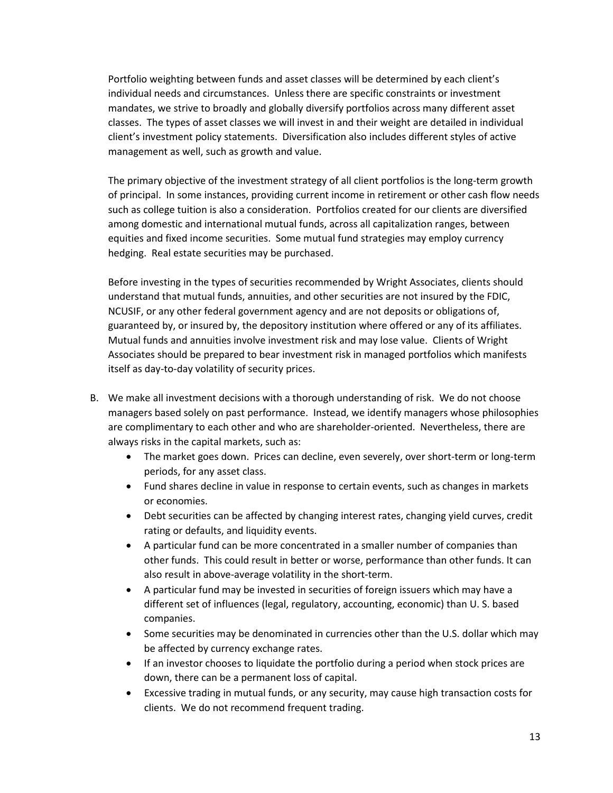Portfolio weighting between funds and asset classes will be determined by each client's individual needs and circumstances. Unless there are specific constraints or investment mandates, we strive to broadly and globally diversify portfolios across many different asset classes. The types of asset classes we will invest in and their weight are detailed in individual client's investment policy statements. Diversification also includes different styles of active management as well, such as growth and value.

The primary objective of the investment strategy of all client portfolios is the long-term growth of principal. In some instances, providing current income in retirement or other cash flow needs such as college tuition is also a consideration. Portfolios created for our clients are diversified among domestic and international mutual funds, across all capitalization ranges, between equities and fixed income securities. Some mutual fund strategies may employ currency hedging. Real estate securities may be purchased.

Before investing in the types of securities recommended by Wright Associates, clients should understand that mutual funds, annuities, and other securities are not insured by the FDIC, NCUSIF, or any other federal government agency and are not deposits or obligations of, guaranteed by, or insured by, the depository institution where offered or any of its affiliates. Mutual funds and annuities involve investment risk and may lose value. Clients of Wright Associates should be prepared to bear investment risk in managed portfolios which manifests itself as day-to-day volatility of security prices.

- B. We make all investment decisions with a thorough understanding of risk. We do not choose managers based solely on past performance. Instead, we identify managers whose philosophies are complimentary to each other and who are shareholder-oriented. Nevertheless, there are always risks in the capital markets, such as:
	- The market goes down. Prices can decline, even severely, over short-term or long-term periods, for any asset class.
	- Fund shares decline in value in response to certain events, such as changes in markets or economies.
	- Debt securities can be affected by changing interest rates, changing yield curves, credit rating or defaults, and liquidity events.
	- A particular fund can be more concentrated in a smaller number of companies than other funds. This could result in better or worse, performance than other funds. It can also result in above-average volatility in the short-term.
	- A particular fund may be invested in securities of foreign issuers which may have a different set of influences (legal, regulatory, accounting, economic) than U. S. based companies.
	- Some securities may be denominated in currencies other than the U.S. dollar which may be affected by currency exchange rates.
	- If an investor chooses to liquidate the portfolio during a period when stock prices are down, there can be a permanent loss of capital.
	- Excessive trading in mutual funds, or any security, may cause high transaction costs for clients. We do not recommend frequent trading.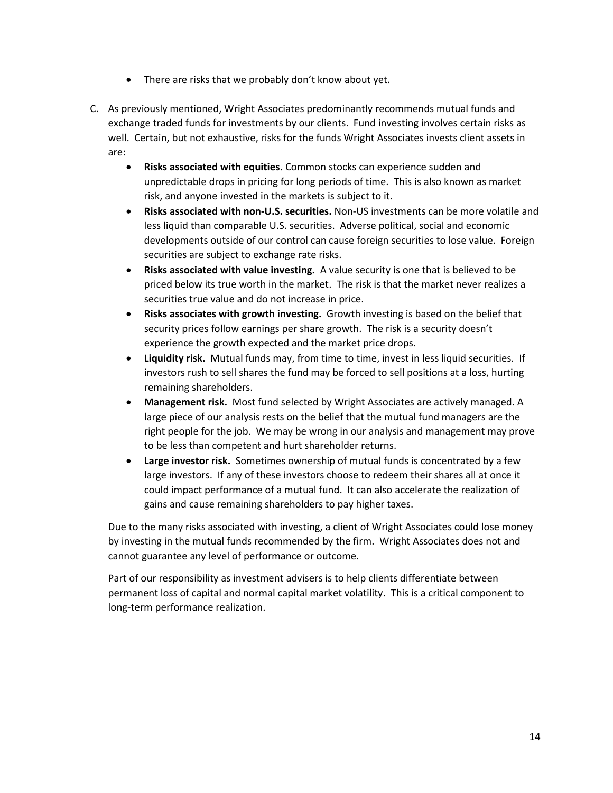- There are risks that we probably don't know about yet.
- C. As previously mentioned, Wright Associates predominantly recommends mutual funds and exchange traded funds for investments by our clients. Fund investing involves certain risks as well. Certain, but not exhaustive, risks for the funds Wright Associates invests client assets in are:
	- **Risks associated with equities.** Common stocks can experience sudden and unpredictable drops in pricing for long periods of time. This is also known as market risk, and anyone invested in the markets is subject to it.
	- **Risks associated with non-U.S. securities.** Non-US investments can be more volatile and less liquid than comparable U.S. securities. Adverse political, social and economic developments outside of our control can cause foreign securities to lose value. Foreign securities are subject to exchange rate risks.
	- **Risks associated with value investing.** A value security is one that is believed to be priced below its true worth in the market. The risk is that the market never realizes a securities true value and do not increase in price.
	- **Risks associates with growth investing.** Growth investing is based on the belief that security prices follow earnings per share growth. The risk is a security doesn't experience the growth expected and the market price drops.
	- **Liquidity risk.** Mutual funds may, from time to time, invest in less liquid securities. If investors rush to sell shares the fund may be forced to sell positions at a loss, hurting remaining shareholders.
	- **Management risk.** Most fund selected by Wright Associates are actively managed. A large piece of our analysis rests on the belief that the mutual fund managers are the right people for the job. We may be wrong in our analysis and management may prove to be less than competent and hurt shareholder returns.
	- **Large investor risk.** Sometimes ownership of mutual funds is concentrated by a few large investors. If any of these investors choose to redeem their shares all at once it could impact performance of a mutual fund. It can also accelerate the realization of gains and cause remaining shareholders to pay higher taxes.

Due to the many risks associated with investing, a client of Wright Associates could lose money by investing in the mutual funds recommended by the firm. Wright Associates does not and cannot guarantee any level of performance or outcome.

Part of our responsibility as investment advisers is to help clients differentiate between permanent loss of capital and normal capital market volatility. This is a critical component to long-term performance realization.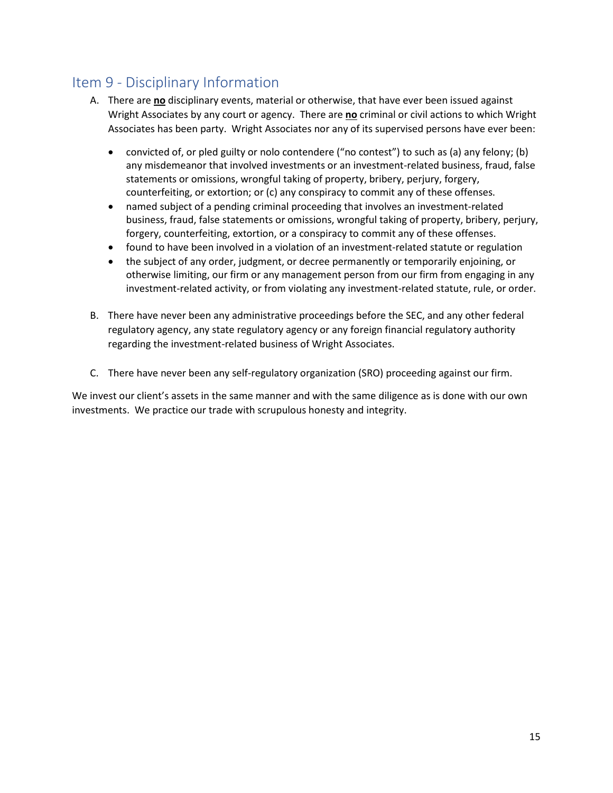## <span id="page-15-0"></span>Item 9 - Disciplinary Information

- A. There are **no** disciplinary events, material or otherwise, that have ever been issued against Wright Associates by any court or agency. There are **no** criminal or civil actions to which Wright Associates has been party. Wright Associates nor any of its supervised persons have ever been:
	- convicted of, or pled guilty or nolo contendere ("no contest") to such as (a) any felony; (b) any misdemeanor that involved investments or an investment-related business, fraud, false statements or omissions, wrongful taking of property, bribery, perjury, forgery, counterfeiting, or extortion; or (c) any conspiracy to commit any of these offenses.
	- named subject of a pending criminal proceeding that involves an investment-related business, fraud, false statements or omissions, wrongful taking of property, bribery, perjury, forgery, counterfeiting, extortion, or a conspiracy to commit any of these offenses.
	- found to have been involved in a violation of an investment-related statute or regulation
	- the subject of any order, judgment, or decree permanently or temporarily enjoining, or otherwise limiting, our firm or any management person from our firm from engaging in any investment-related activity, or from violating any investment-related statute, rule, or order.
- B. There have never been any administrative proceedings before the SEC, and any other federal regulatory agency, any state regulatory agency or any foreign financial regulatory authority regarding the investment-related business of Wright Associates.
- C. There have never been any self-regulatory organization (SRO) proceeding against our firm.

We invest our client's assets in the same manner and with the same diligence as is done with our own investments. We practice our trade with scrupulous honesty and integrity.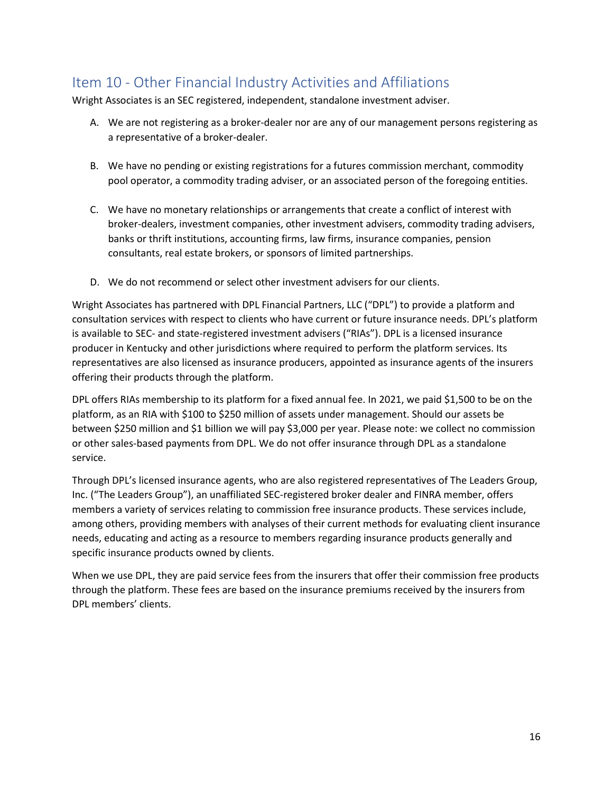## <span id="page-16-0"></span>Item 10 - Other Financial Industry Activities and Affiliations

Wright Associates is an SEC registered, independent, standalone investment adviser.

- A. We are not registering as a broker-dealer nor are any of our management persons registering as a representative of a broker-dealer.
- B. We have no pending or existing registrations for a futures commission merchant, commodity pool operator, a commodity trading adviser, or an associated person of the foregoing entities.
- C. We have no monetary relationships or arrangements that create a conflict of interest with broker-dealers, investment companies, other investment advisers, commodity trading advisers, banks or thrift institutions, accounting firms, law firms, insurance companies, pension consultants, real estate brokers, or sponsors of limited partnerships.
- D. We do not recommend or select other investment advisers for our clients.

Wright Associates has partnered with DPL Financial Partners, LLC ("DPL") to provide a platform and consultation services with respect to clients who have current or future insurance needs. DPL's platform is available to SEC- and state-registered investment advisers ("RIAs"). DPL is a licensed insurance producer in Kentucky and other jurisdictions where required to perform the platform services. Its representatives are also licensed as insurance producers, appointed as insurance agents of the insurers offering their products through the platform.

DPL offers RIAs membership to its platform for a fixed annual fee. In 2021, we paid \$1,500 to be on the platform, as an RIA with \$100 to \$250 million of assets under management. Should our assets be between \$250 million and \$1 billion we will pay \$3,000 per year. Please note: we collect no commission or other sales-based payments from DPL. We do not offer insurance through DPL as a standalone service.

Through DPL's licensed insurance agents, who are also registered representatives of The Leaders Group, Inc. ("The Leaders Group"), an unaffiliated SEC-registered broker dealer and FINRA member, offers members a variety of services relating to commission free insurance products. These services include, among others, providing members with analyses of their current methods for evaluating client insurance needs, educating and acting as a resource to members regarding insurance products generally and specific insurance products owned by clients.

When we use DPL, they are paid service fees from the insurers that offer their commission free products through the platform. These fees are based on the insurance premiums received by the insurers from DPL members' clients.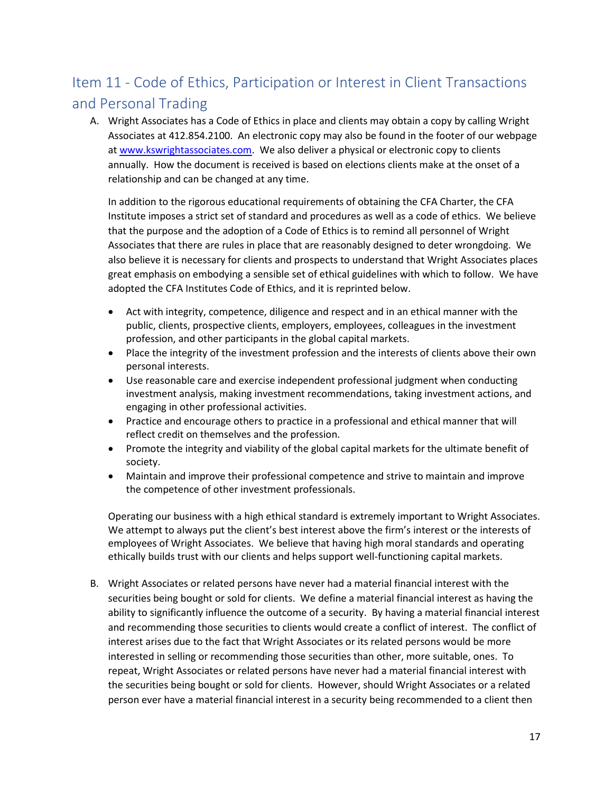## <span id="page-17-0"></span>Item 11 - Code of Ethics, Participation or Interest in Client Transactions and Personal Trading

A. Wright Associates has a Code of Ethics in place and clients may obtain a copy by calling Wright Associates at 412.854.2100. An electronic copy may also be found in the footer of our webpage at [www.kswrightassociates.com.](http://www.kswrightassociates.com/) We also deliver a physical or electronic copy to clients annually. How the document is received is based on elections clients make at the onset of a relationship and can be changed at any time.

In addition to the rigorous educational requirements of obtaining the CFA Charter, the CFA Institute imposes a strict set of standard and procedures as well as a code of ethics. We believe that the purpose and the adoption of a Code of Ethics is to remind all personnel of Wright Associates that there are rules in place that are reasonably designed to deter wrongdoing. We also believe it is necessary for clients and prospects to understand that Wright Associates places great emphasis on embodying a sensible set of ethical guidelines with which to follow. We have adopted the CFA Institutes Code of Ethics, and it is reprinted below.

- Act with integrity, competence, diligence and respect and in an ethical manner with the public, clients, prospective clients, employers, employees, colleagues in the investment profession, and other participants in the global capital markets.
- Place the integrity of the investment profession and the interests of clients above their own personal interests.
- Use reasonable care and exercise independent professional judgment when conducting investment analysis, making investment recommendations, taking investment actions, and engaging in other professional activities.
- Practice and encourage others to practice in a professional and ethical manner that will reflect credit on themselves and the profession.
- Promote the integrity and viability of the global capital markets for the ultimate benefit of society.
- Maintain and improve their professional competence and strive to maintain and improve the competence of other investment professionals.

Operating our business with a high ethical standard is extremely important to Wright Associates. We attempt to always put the client's best interest above the firm's interest or the interests of employees of Wright Associates. We believe that having high moral standards and operating ethically builds trust with our clients and helps support well-functioning capital markets.

B. Wright Associates or related persons have never had a material financial interest with the securities being bought or sold for clients. We define a material financial interest as having the ability to significantly influence the outcome of a security. By having a material financial interest and recommending those securities to clients would create a conflict of interest. The conflict of interest arises due to the fact that Wright Associates or its related persons would be more interested in selling or recommending those securities than other, more suitable, ones. To repeat, Wright Associates or related persons have never had a material financial interest with the securities being bought or sold for clients. However, should Wright Associates or a related person ever have a material financial interest in a security being recommended to a client then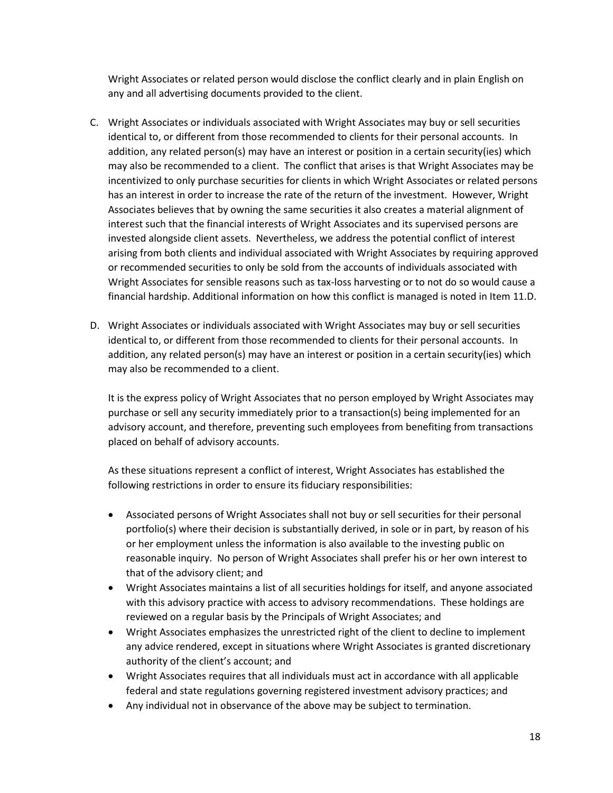Wright Associates or related person would disclose the conflict clearly and in plain English on any and all advertising documents provided to the client.

- C. Wright Associates or individuals associated with Wright Associates may buy or sell securities identical to, or different from those recommended to clients for their personal accounts. In addition, any related person(s) may have an interest or position in a certain security(ies) which may also be recommended to a client. The conflict that arises is that Wright Associates may be incentivized to only purchase securities for clients in which Wright Associates or related persons has an interest in order to increase the rate of the return of the investment. However, Wright Associates believes that by owning the same securities it also creates a material alignment of interest such that the financial interests of Wright Associates and its supervised persons are invested alongside client assets. Nevertheless, we address the potential conflict of interest arising from both clients and individual associated with Wright Associates by requiring approved or recommended securities to only be sold from the accounts of individuals associated with Wright Associates for sensible reasons such as tax-loss harvesting or to not do so would cause a financial hardship. Additional information on how this conflict is managed is noted in Item 11.D.
- D. Wright Associates or individuals associated with Wright Associates may buy or sell securities identical to, or different from those recommended to clients for their personal accounts. In addition, any related person(s) may have an interest or position in a certain security(ies) which may also be recommended to a client.

It is the express policy of Wright Associates that no person employed by Wright Associates may purchase or sell any security immediately prior to a transaction(s) being implemented for an advisory account, and therefore, preventing such employees from benefiting from transactions placed on behalf of advisory accounts.

As these situations represent a conflict of interest, Wright Associates has established the following restrictions in order to ensure its fiduciary responsibilities:

- Associated persons of Wright Associates shall not buy or sell securities for their personal portfolio(s) where their decision is substantially derived, in sole or in part, by reason of his or her employment unless the information is also available to the investing public on reasonable inquiry. No person of Wright Associates shall prefer his or her own interest to that of the advisory client; and
- Wright Associates maintains a list of all securities holdings for itself, and anyone associated with this advisory practice with access to advisory recommendations. These holdings are reviewed on a regular basis by the Principals of Wright Associates; and
- Wright Associates emphasizes the unrestricted right of the client to decline to implement any advice rendered, except in situations where Wright Associates is granted discretionary authority of the client's account; and
- Wright Associates requires that all individuals must act in accordance with all applicable federal and state regulations governing registered investment advisory practices; and
- Any individual not in observance of the above may be subject to termination.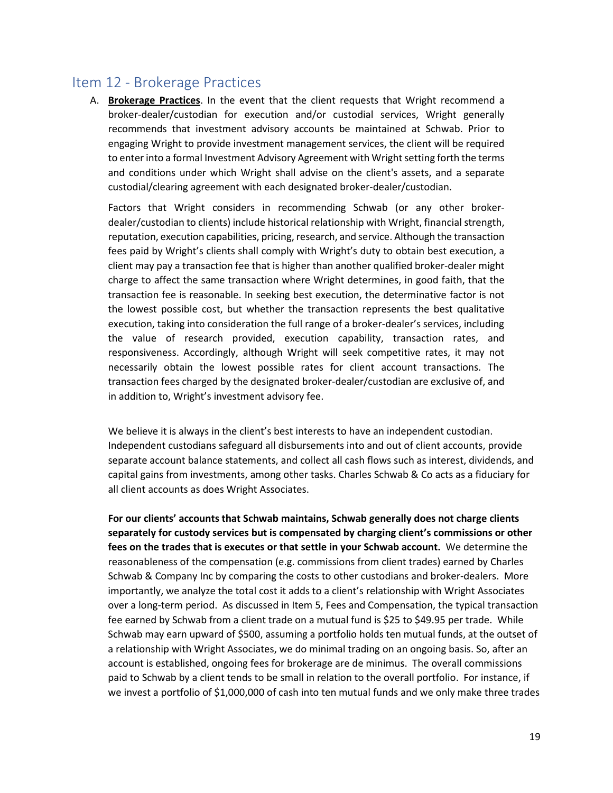### <span id="page-19-0"></span>Item 12 - Brokerage Practices

A. **Brokerage Practices**. In the event that the client requests that Wright recommend a broker-dealer/custodian for execution and/or custodial services, Wright generally recommends that investment advisory accounts be maintained at Schwab. Prior to engaging Wright to provide investment management services, the client will be required to enter into a formal Investment Advisory Agreement with Wright setting forth the terms and conditions under which Wright shall advise on the client's assets, and a separate custodial/clearing agreement with each designated broker-dealer/custodian.

Factors that Wright considers in recommending Schwab (or any other brokerdealer/custodian to clients) include historical relationship with Wright, financial strength, reputation, execution capabilities, pricing, research, and service. Although the transaction fees paid by Wright's clients shall comply with Wright's duty to obtain best execution, a client may pay a transaction fee that is higher than another qualified broker-dealer might charge to affect the same transaction where Wright determines, in good faith, that the transaction fee is reasonable. In seeking best execution, the determinative factor is not the lowest possible cost, but whether the transaction represents the best qualitative execution, taking into consideration the full range of a broker-dealer's services, including the value of research provided, execution capability, transaction rates, and responsiveness. Accordingly, although Wright will seek competitive rates, it may not necessarily obtain the lowest possible rates for client account transactions. The transaction fees charged by the designated broker-dealer/custodian are exclusive of, and in addition to, Wright's investment advisory fee.

We believe it is always in the client's best interests to have an independent custodian. Independent custodians safeguard all disbursements into and out of client accounts, provide separate account balance statements, and collect all cash flows such as interest, dividends, and capital gains from investments, among other tasks. Charles Schwab & Co acts as a fiduciary for all client accounts as does Wright Associates.

**For our clients' accounts that Schwab maintains, Schwab generally does not charge clients separately for custody services but is compensated by charging client's commissions or other fees on the trades that is executes or that settle in your Schwab account.** We determine the reasonableness of the compensation (e.g. commissions from client trades) earned by Charles Schwab & Company Inc by comparing the costs to other custodians and broker-dealers. More importantly, we analyze the total cost it adds to a client's relationship with Wright Associates over a long-term period. As discussed in Item 5, Fees and Compensation, the typical transaction fee earned by Schwab from a client trade on a mutual fund is \$25 to \$49.95 per trade. While Schwab may earn upward of \$500, assuming a portfolio holds ten mutual funds, at the outset of a relationship with Wright Associates, we do minimal trading on an ongoing basis. So, after an account is established, ongoing fees for brokerage are de minimus. The overall commissions paid to Schwab by a client tends to be small in relation to the overall portfolio. For instance, if we invest a portfolio of \$1,000,000 of cash into ten mutual funds and we only make three trades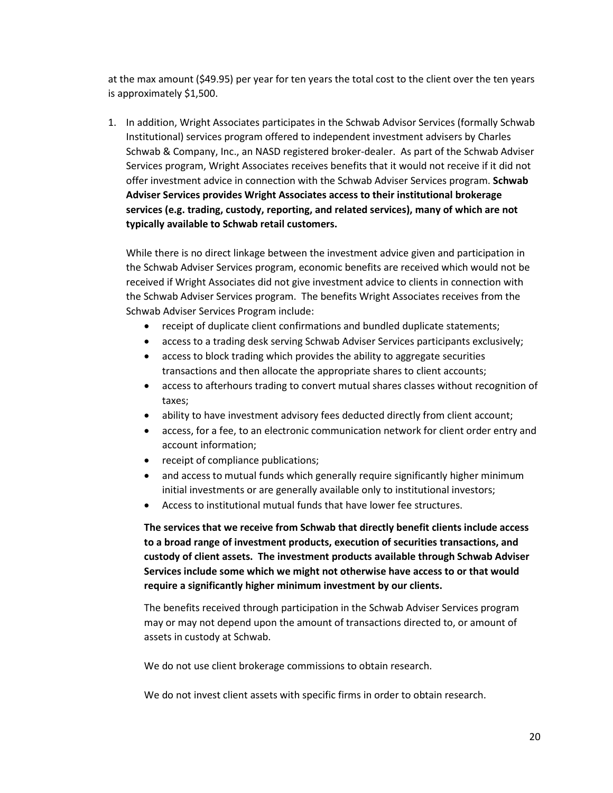at the max amount (\$49.95) per year for ten years the total cost to the client over the ten years is approximately \$1,500.

1. In addition, Wright Associates participates in the Schwab Advisor Services (formally Schwab Institutional) services program offered to independent investment advisers by Charles Schwab & Company, Inc., an NASD registered broker-dealer. As part of the Schwab Adviser Services program, Wright Associates receives benefits that it would not receive if it did not offer investment advice in connection with the Schwab Adviser Services program. **Schwab Adviser Services provides Wright Associates access to their institutional brokerage services (e.g. trading, custody, reporting, and related services), many of which are not typically available to Schwab retail customers.** 

While there is no direct linkage between the investment advice given and participation in the Schwab Adviser Services program, economic benefits are received which would not be received if Wright Associates did not give investment advice to clients in connection with the Schwab Adviser Services program. The benefits Wright Associates receives from the Schwab Adviser Services Program include:

- receipt of duplicate client confirmations and bundled duplicate statements;
- access to a trading desk serving Schwab Adviser Services participants exclusively;
- access to block trading which provides the ability to aggregate securities transactions and then allocate the appropriate shares to client accounts;
- access to afterhours trading to convert mutual shares classes without recognition of taxes;
- ability to have investment advisory fees deducted directly from client account;
- access, for a fee, to an electronic communication network for client order entry and account information;
- receipt of compliance publications;
- and access to mutual funds which generally require significantly higher minimum initial investments or are generally available only to institutional investors;
- Access to institutional mutual funds that have lower fee structures.

**The services that we receive from Schwab that directly benefit clients include access to a broad range of investment products, execution of securities transactions, and custody of client assets. The investment products available through Schwab Adviser Services include some which we might not otherwise have access to or that would require a significantly higher minimum investment by our clients.**

The benefits received through participation in the Schwab Adviser Services program may or may not depend upon the amount of transactions directed to, or amount of assets in custody at Schwab.

We do not use client brokerage commissions to obtain research.

We do not invest client assets with specific firms in order to obtain research.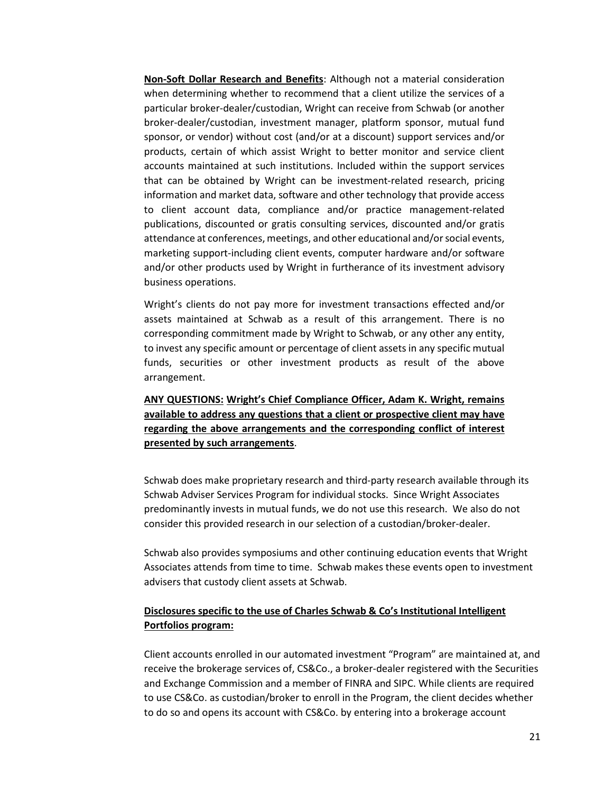**Non-Soft Dollar Research and Benefits**: Although not a material consideration when determining whether to recommend that a client utilize the services of a particular broker-dealer/custodian, Wright can receive from Schwab (or another broker-dealer/custodian, investment manager, platform sponsor, mutual fund sponsor, or vendor) without cost (and/or at a discount) support services and/or products, certain of which assist Wright to better monitor and service client accounts maintained at such institutions. Included within the support services that can be obtained by Wright can be investment-related research, pricing information and market data, software and other technology that provide access to client account data, compliance and/or practice management-related publications, discounted or gratis consulting services, discounted and/or gratis attendance at conferences, meetings, and other educational and/or social events, marketing support-including client events, computer hardware and/or software and/or other products used by Wright in furtherance of its investment advisory business operations.

Wright's clients do not pay more for investment transactions effected and/or assets maintained at Schwab as a result of this arrangement. There is no corresponding commitment made by Wright to Schwab, or any other any entity, to invest any specific amount or percentage of client assets in any specific mutual funds, securities or other investment products as result of the above arrangement.

**ANY QUESTIONS: Wright's Chief Compliance Officer, Adam K. Wright, remains available to address any questions that a client or prospective client may have regarding the above arrangements and the corresponding conflict of interest presented by such arrangements**.

Schwab does make proprietary research and third-party research available through its Schwab Adviser Services Program for individual stocks. Since Wright Associates predominantly invests in mutual funds, we do not use this research. We also do not consider this provided research in our selection of a custodian/broker-dealer.

Schwab also provides symposiums and other continuing education events that Wright Associates attends from time to time. Schwab makes these events open to investment advisers that custody client assets at Schwab.

#### **Disclosures specific to the use of Charles Schwab & Co's Institutional Intelligent Portfolios program:**

Client accounts enrolled in our automated investment "Program" are maintained at, and receive the brokerage services of, CS&Co., a broker-dealer registered with the Securities and Exchange Commission and a member of FINRA and SIPC. While clients are required to use CS&Co. as custodian/broker to enroll in the Program, the client decides whether to do so and opens its account with CS&Co. by entering into a brokerage account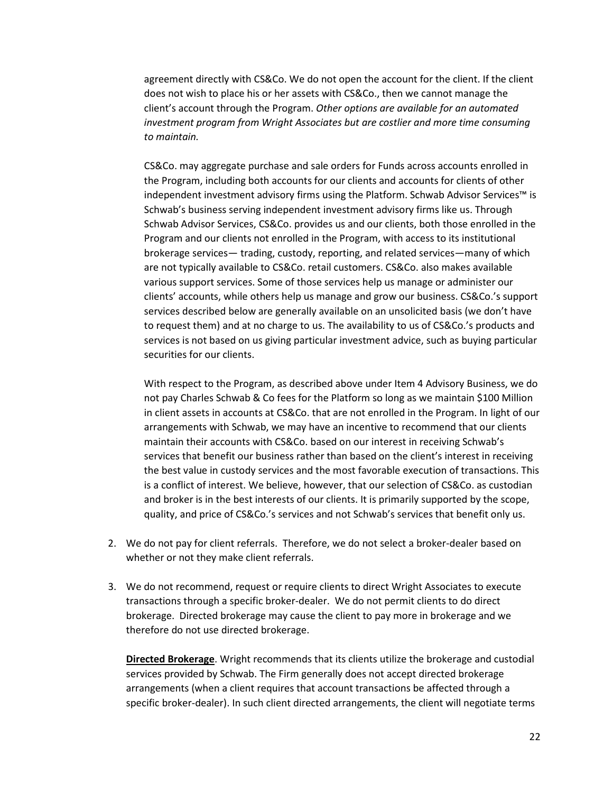agreement directly with CS&Co. We do not open the account for the client. If the client does not wish to place his or her assets with CS&Co., then we cannot manage the client's account through the Program. *Other options are available for an automated investment program from Wright Associates but are costlier and more time consuming to maintain.*

CS&Co. may aggregate purchase and sale orders for Funds across accounts enrolled in the Program, including both accounts for our clients and accounts for clients of other independent investment advisory firms using the Platform. Schwab Advisor Services™ is Schwab's business serving independent investment advisory firms like us. Through Schwab Advisor Services, CS&Co. provides us and our clients, both those enrolled in the Program and our clients not enrolled in the Program, with access to its institutional brokerage services— trading, custody, reporting, and related services—many of which are not typically available to CS&Co. retail customers. CS&Co. also makes available various support services. Some of those services help us manage or administer our clients' accounts, while others help us manage and grow our business. CS&Co.'s support services described below are generally available on an unsolicited basis (we don't have to request them) and at no charge to us. The availability to us of CS&Co.'s products and services is not based on us giving particular investment advice, such as buying particular securities for our clients.

With respect to the Program, as described above under Item 4 Advisory Business, we do not pay Charles Schwab & Co fees for the Platform so long as we maintain \$100 Million in client assets in accounts at CS&Co. that are not enrolled in the Program. In light of our arrangements with Schwab, we may have an incentive to recommend that our clients maintain their accounts with CS&Co. based on our interest in receiving Schwab's services that benefit our business rather than based on the client's interest in receiving the best value in custody services and the most favorable execution of transactions. This is a conflict of interest. We believe, however, that our selection of CS&Co. as custodian and broker is in the best interests of our clients. It is primarily supported by the scope, quality, and price of CS&Co.'s services and not Schwab's services that benefit only us.

- 2. We do not pay for client referrals. Therefore, we do not select a broker-dealer based on whether or not they make client referrals.
- 3. We do not recommend, request or require clients to direct Wright Associates to execute transactions through a specific broker-dealer. We do not permit clients to do direct brokerage. Directed brokerage may cause the client to pay more in brokerage and we therefore do not use directed brokerage.

**Directed Brokerage**. Wright recommends that its clients utilize the brokerage and custodial services provided by Schwab. The Firm generally does not accept directed brokerage arrangements (when a client requires that account transactions be affected through a specific broker-dealer). In such client directed arrangements, the client will negotiate terms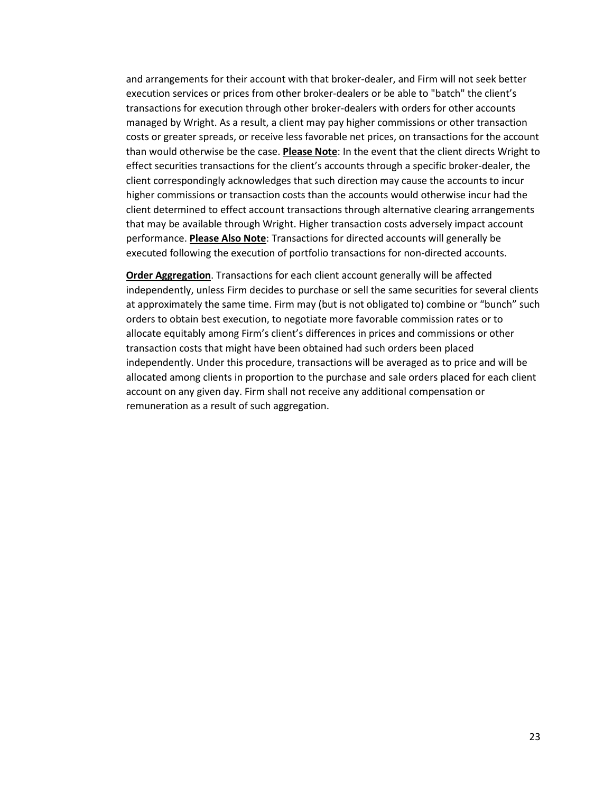and arrangements for their account with that broker-dealer, and Firm will not seek better execution services or prices from other broker-dealers or be able to "batch" the client's transactions for execution through other broker-dealers with orders for other accounts managed by Wright. As a result, a client may pay higher commissions or other transaction costs or greater spreads, or receive less favorable net prices, on transactions for the account than would otherwise be the case. **Please Note**: In the event that the client directs Wright to effect securities transactions for the client's accounts through a specific broker-dealer, the client correspondingly acknowledges that such direction may cause the accounts to incur higher commissions or transaction costs than the accounts would otherwise incur had the client determined to effect account transactions through alternative clearing arrangements that may be available through Wright. Higher transaction costs adversely impact account performance. **Please Also Note**: Transactions for directed accounts will generally be executed following the execution of portfolio transactions for non-directed accounts.

**Order Aggregation**. Transactions for each client account generally will be affected independently, unless Firm decides to purchase or sell the same securities for several clients at approximately the same time. Firm may (but is not obligated to) combine or "bunch" such orders to obtain best execution, to negotiate more favorable commission rates or to allocate equitably among Firm's client's differences in prices and commissions or other transaction costs that might have been obtained had such orders been placed independently. Under this procedure, transactions will be averaged as to price and will be allocated among clients in proportion to the purchase and sale orders placed for each client account on any given day. Firm shall not receive any additional compensation or remuneration as a result of such aggregation.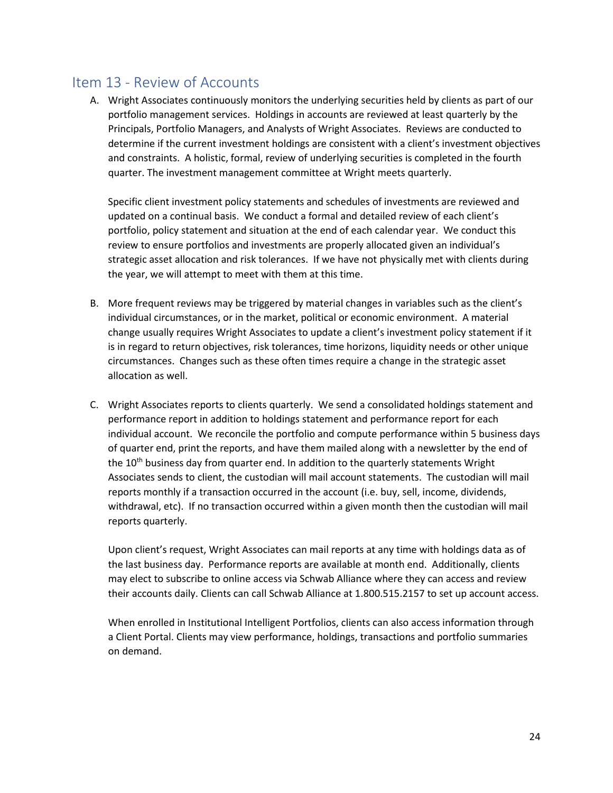## <span id="page-24-0"></span>Item 13 - Review of Accounts

A. Wright Associates continuously monitors the underlying securities held by clients as part of our portfolio management services. Holdings in accounts are reviewed at least quarterly by the Principals, Portfolio Managers, and Analysts of Wright Associates. Reviews are conducted to determine if the current investment holdings are consistent with a client's investment objectives and constraints. A holistic, formal, review of underlying securities is completed in the fourth quarter. The investment management committee at Wright meets quarterly.

Specific client investment policy statements and schedules of investments are reviewed and updated on a continual basis. We conduct a formal and detailed review of each client's portfolio, policy statement and situation at the end of each calendar year. We conduct this review to ensure portfolios and investments are properly allocated given an individual's strategic asset allocation and risk tolerances. If we have not physically met with clients during the year, we will attempt to meet with them at this time.

- B. More frequent reviews may be triggered by material changes in variables such as the client's individual circumstances, or in the market, political or economic environment. A material change usually requires Wright Associates to update a client's investment policy statement if it is in regard to return objectives, risk tolerances, time horizons, liquidity needs or other unique circumstances. Changes such as these often times require a change in the strategic asset allocation as well.
- C. Wright Associates reports to clients quarterly. We send a consolidated holdings statement and performance report in addition to holdings statement and performance report for each individual account. We reconcile the portfolio and compute performance within 5 business days of quarter end, print the reports, and have them mailed along with a newsletter by the end of the  $10<sup>th</sup>$  business day from quarter end. In addition to the quarterly statements Wright Associates sends to client, the custodian will mail account statements. The custodian will mail reports monthly if a transaction occurred in the account (i.e. buy, sell, income, dividends, withdrawal, etc). If no transaction occurred within a given month then the custodian will mail reports quarterly.

Upon client's request, Wright Associates can mail reports at any time with holdings data as of the last business day. Performance reports are available at month end. Additionally, clients may elect to subscribe to online access via Schwab Alliance where they can access and review their accounts daily. Clients can call Schwab Alliance at 1.800.515.2157 to set up account access.

When enrolled in Institutional Intelligent Portfolios, clients can also access information through a Client Portal. Clients may view performance, holdings, transactions and portfolio summaries on demand.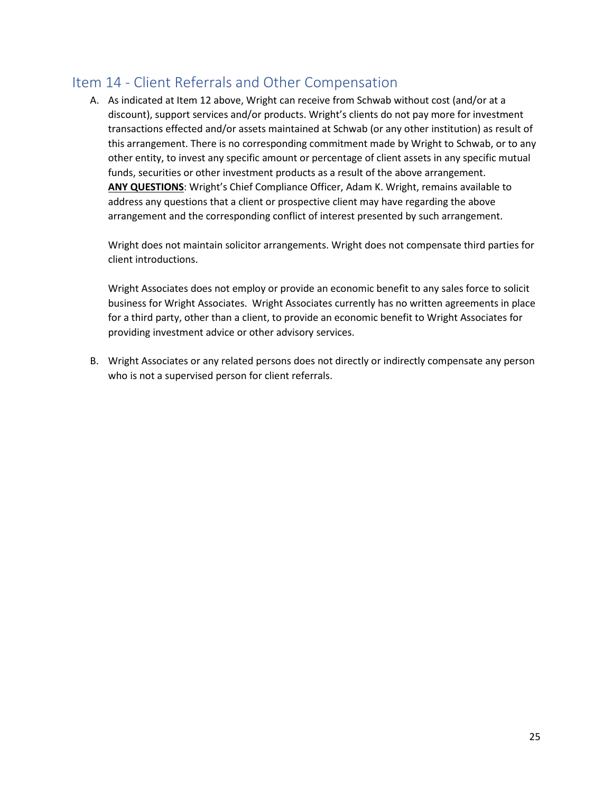## <span id="page-25-0"></span>Item 14 - Client Referrals and Other Compensation

A. As indicated at Item 12 above, Wright can receive from Schwab without cost (and/or at a discount), support services and/or products. Wright's clients do not pay more for investment transactions effected and/or assets maintained at Schwab (or any other institution) as result of this arrangement. There is no corresponding commitment made by Wright to Schwab, or to any other entity, to invest any specific amount or percentage of client assets in any specific mutual funds, securities or other investment products as a result of the above arrangement. **ANY QUESTIONS**: Wright's Chief Compliance Officer, Adam K. Wright, remains available to address any questions that a client or prospective client may have regarding the above arrangement and the corresponding conflict of interest presented by such arrangement.

Wright does not maintain solicitor arrangements. Wright does not compensate third parties for client introductions.

Wright Associates does not employ or provide an economic benefit to any sales force to solicit business for Wright Associates. Wright Associates currently has no written agreements in place for a third party, other than a client, to provide an economic benefit to Wright Associates for providing investment advice or other advisory services.

B. Wright Associates or any related persons does not directly or indirectly compensate any person who is not a supervised person for client referrals.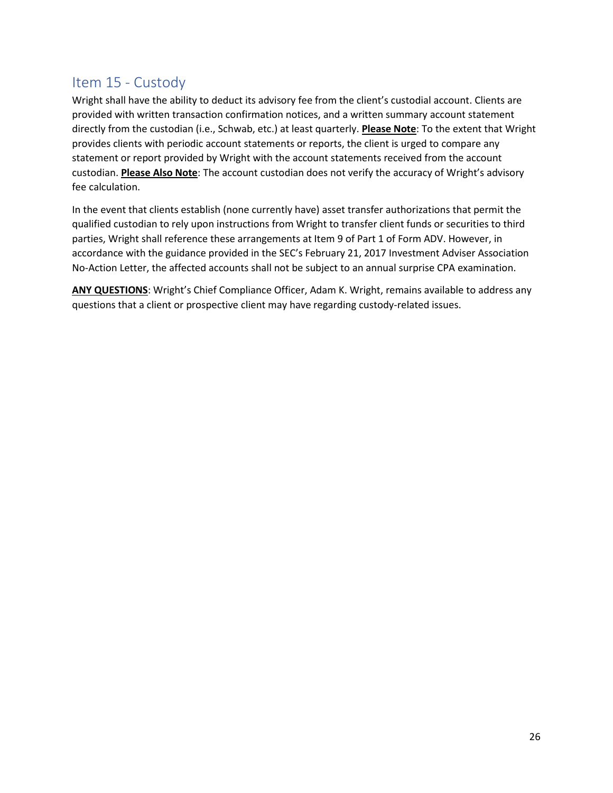## <span id="page-26-0"></span>Item 15 - Custody

Wright shall have the ability to deduct its advisory fee from the client's custodial account. Clients are provided with written transaction confirmation notices, and a written summary account statement directly from the custodian (i.e., Schwab, etc.) at least quarterly. **Please Note**: To the extent that Wright provides clients with periodic account statements or reports, the client is urged to compare any statement or report provided by Wright with the account statements received from the account custodian. **Please Also Note**: The account custodian does not verify the accuracy of Wright's advisory fee calculation.

In the event that clients establish (none currently have) asset transfer authorizations that permit the qualified custodian to rely upon instructions from Wright to transfer client funds or securities to third parties, Wright shall reference these arrangements at Item 9 of Part 1 of Form ADV. However, in accordance with the guidance provided in the SEC's February 21, 2017 Investment Adviser Association No-Action Letter, the affected accounts shall not be subject to an annual surprise CPA examination.

**ANY QUESTIONS**: Wright's Chief Compliance Officer, Adam K. Wright, remains available to address any questions that a client or prospective client may have regarding custody-related issues.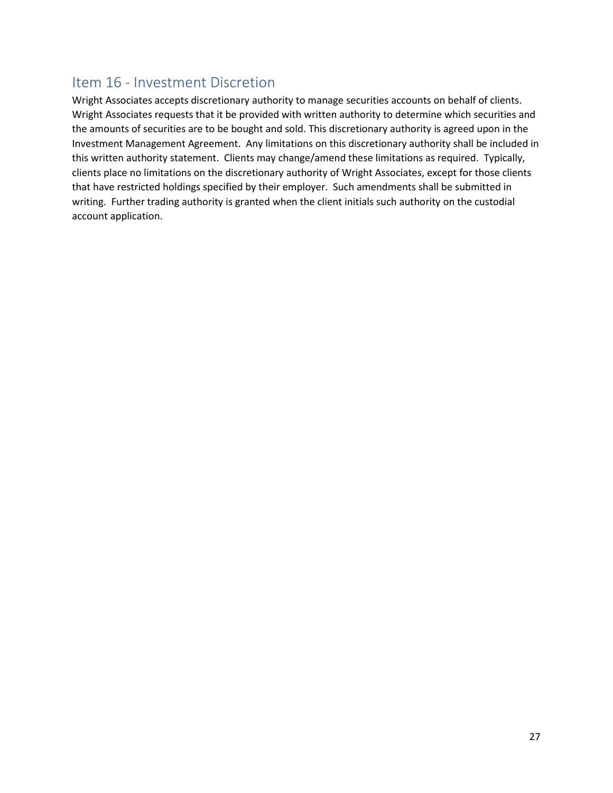## <span id="page-27-0"></span>Item 16 - Investment Discretion

Wright Associates accepts discretionary authority to manage securities accounts on behalf of clients. Wright Associates requests that it be provided with written authority to determine which securities and the amounts of securities are to be bought and sold. This discretionary authority is agreed upon in the Investment Management Agreement. Any limitations on this discretionary authority shall be included in this written authority statement. Clients may change/amend these limitations as required. Typically, clients place no limitations on the discretionary authority of Wright Associates, except for those clients that have restricted holdings specified by their employer. Such amendments shall be submitted in writing. Further trading authority is granted when the client initials such authority on the custodial account application.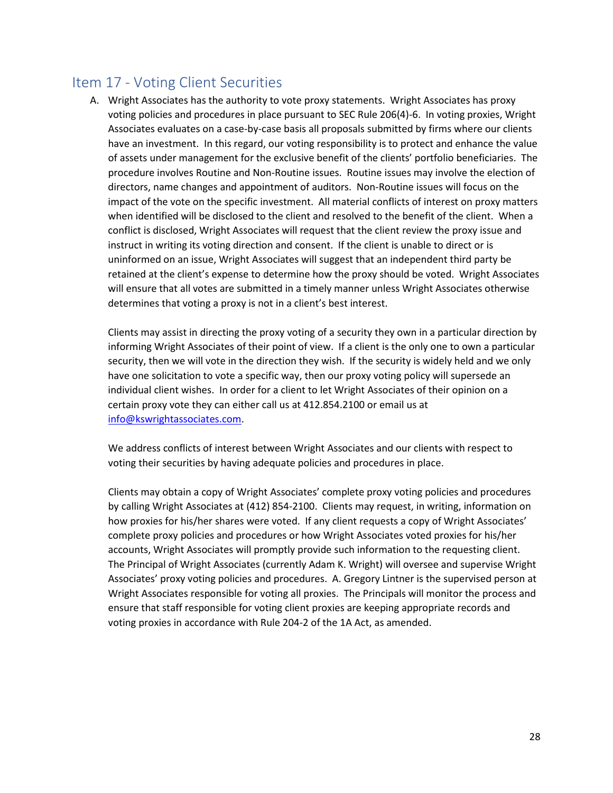## <span id="page-28-0"></span>Item 17 - Voting Client Securities

A. Wright Associates has the authority to vote proxy statements. Wright Associates has proxy voting policies and procedures in place pursuant to SEC Rule 206(4)-6. In voting proxies, Wright Associates evaluates on a case-by-case basis all proposals submitted by firms where our clients have an investment. In this regard, our voting responsibility is to protect and enhance the value of assets under management for the exclusive benefit of the clients' portfolio beneficiaries. The procedure involves Routine and Non-Routine issues. Routine issues may involve the election of directors, name changes and appointment of auditors. Non-Routine issues will focus on the impact of the vote on the specific investment. All material conflicts of interest on proxy matters when identified will be disclosed to the client and resolved to the benefit of the client. When a conflict is disclosed, Wright Associates will request that the client review the proxy issue and instruct in writing its voting direction and consent. If the client is unable to direct or is uninformed on an issue, Wright Associates will suggest that an independent third party be retained at the client's expense to determine how the proxy should be voted. Wright Associates will ensure that all votes are submitted in a timely manner unless Wright Associates otherwise determines that voting a proxy is not in a client's best interest.

Clients may assist in directing the proxy voting of a security they own in a particular direction by informing Wright Associates of their point of view. If a client is the only one to own a particular security, then we will vote in the direction they wish. If the security is widely held and we only have one solicitation to vote a specific way, then our proxy voting policy will supersede an individual client wishes. In order for a client to let Wright Associates of their opinion on a certain proxy vote they can either call us at 412.854.2100 or email us at [info@kswrightassociates.com.](mailto:info@kswrightassociates.com)

We address conflicts of interest between Wright Associates and our clients with respect to voting their securities by having adequate policies and procedures in place.

Clients may obtain a copy of Wright Associates' complete proxy voting policies and procedures by calling Wright Associates at (412) 854-2100. Clients may request, in writing, information on how proxies for his/her shares were voted. If any client requests a copy of Wright Associates' complete proxy policies and procedures or how Wright Associates voted proxies for his/her accounts, Wright Associates will promptly provide such information to the requesting client. The Principal of Wright Associates (currently Adam K. Wright) will oversee and supervise Wright Associates' proxy voting policies and procedures. A. Gregory Lintner is the supervised person at Wright Associates responsible for voting all proxies. The Principals will monitor the process and ensure that staff responsible for voting client proxies are keeping appropriate records and voting proxies in accordance with Rule 204-2 of the 1A Act, as amended.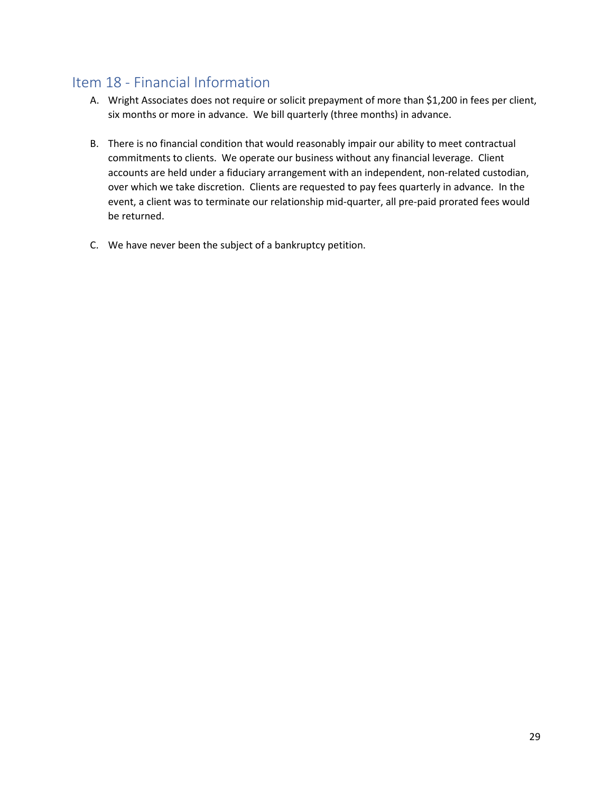## <span id="page-29-0"></span>Item 18 - Financial Information

- A. Wright Associates does not require or solicit prepayment of more than \$1,200 in fees per client, six months or more in advance. We bill quarterly (three months) in advance.
- B. There is no financial condition that would reasonably impair our ability to meet contractual commitments to clients. We operate our business without any financial leverage. Client accounts are held under a fiduciary arrangement with an independent, non-related custodian, over which we take discretion. Clients are requested to pay fees quarterly in advance. In the event, a client was to terminate our relationship mid-quarter, all pre-paid prorated fees would be returned.
- C. We have never been the subject of a bankruptcy petition.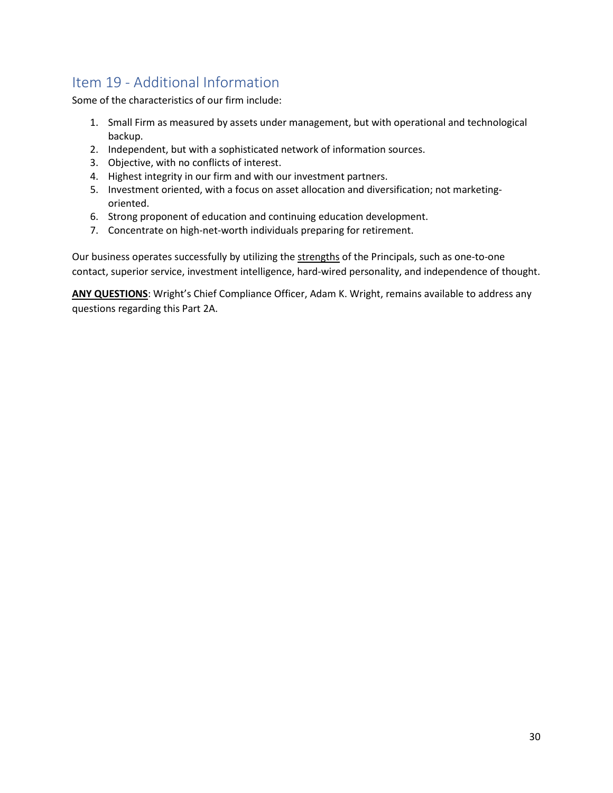## <span id="page-30-0"></span>Item 19 - Additional Information

Some of the characteristics of our firm include:

- 1. Small Firm as measured by assets under management, but with operational and technological backup.
- 2. Independent, but with a sophisticated network of information sources.
- 3. Objective, with no conflicts of interest.
- 4. Highest integrity in our firm and with our investment partners.
- 5. Investment oriented, with a focus on asset allocation and diversification; not marketingoriented.
- 6. Strong proponent of education and continuing education development.
- 7. Concentrate on high-net-worth individuals preparing for retirement.

Our business operates successfully by utilizing the strengths of the Principals, such as one-to-one contact, superior service, investment intelligence, hard-wired personality, and independence of thought.

**ANY QUESTIONS**: Wright's Chief Compliance Officer, Adam K. Wright, remains available to address any questions regarding this Part 2A.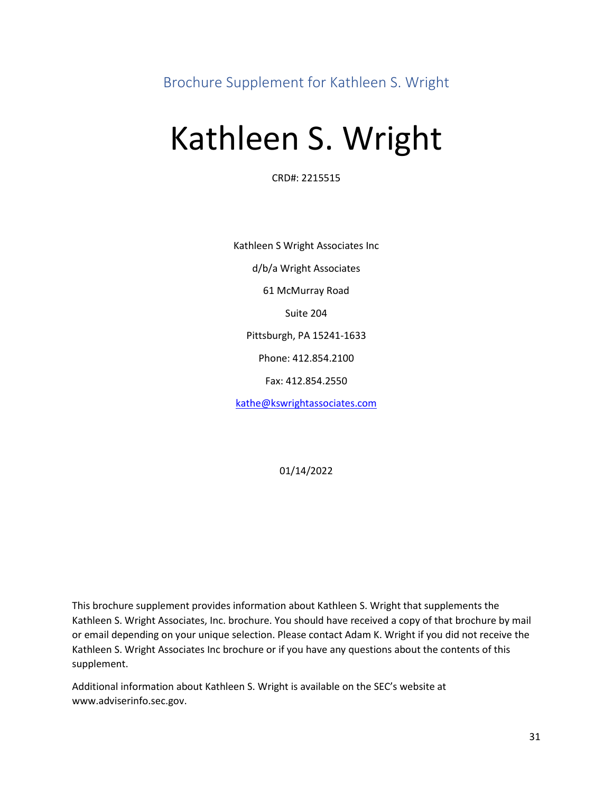<span id="page-31-0"></span>Brochure Supplement for Kathleen S. Wright

## Kathleen S. Wright

CRD#: 2215515

Kathleen S Wright Associates Inc d/b/a Wright Associates 61 McMurray Road Suite 204 Pittsburgh, PA 15241-1633 Phone: 412.854.2100 Fax: 412.854.2550 [kathe@kswrightassociates.com](mailto:kathe@kswrightassociates.com)

01/14/2022

This brochure supplement provides information about Kathleen S. Wright that supplements the Kathleen S. Wright Associates, Inc. brochure. You should have received a copy of that brochure by mail or email depending on your unique selection. Please contact Adam K. Wright if you did not receive the Kathleen S. Wright Associates Inc brochure or if you have any questions about the contents of this supplement.

Additional information about Kathleen S. Wright is available on the SEC's website at www.adviserinfo.sec.gov.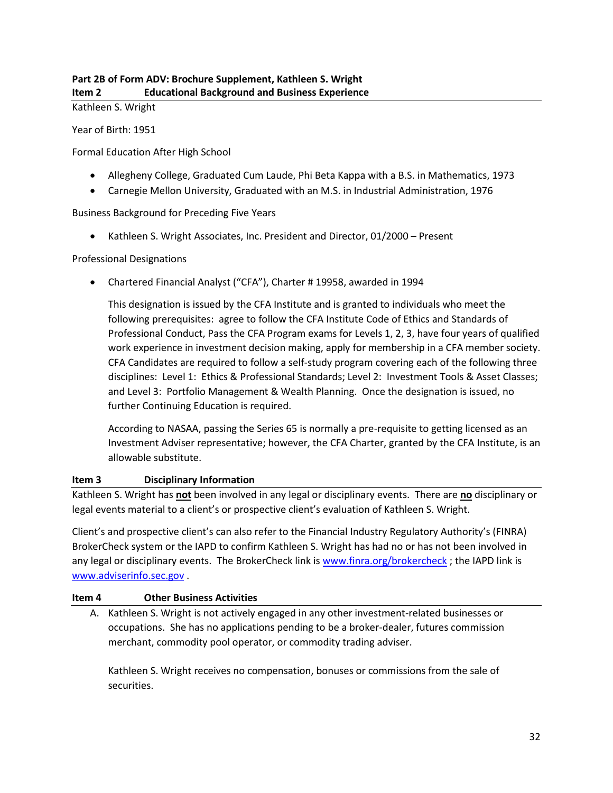Kathleen S. Wright

Year of Birth: 1951

Formal Education After High School

- Allegheny College, Graduated Cum Laude, Phi Beta Kappa with a B.S. in Mathematics, 1973
- Carnegie Mellon University, Graduated with an M.S. in Industrial Administration, 1976

Business Background for Preceding Five Years

• Kathleen S. Wright Associates, Inc. President and Director, 01/2000 – Present

#### Professional Designations

• Chartered Financial Analyst ("CFA"), Charter # 19958, awarded in 1994

This designation is issued by the CFA Institute and is granted to individuals who meet the following prerequisites: agree to follow the CFA Institute Code of Ethics and Standards of Professional Conduct, Pass the CFA Program exams for Levels 1, 2, 3, have four years of qualified work experience in investment decision making, apply for membership in a CFA member society. CFA Candidates are required to follow a self-study program covering each of the following three disciplines: Level 1: Ethics & Professional Standards; Level 2: Investment Tools & Asset Classes; and Level 3: Portfolio Management & Wealth Planning. Once the designation is issued, no further Continuing Education is required.

According to NASAA, passing the Series 65 is normally a pre-requisite to getting licensed as an Investment Adviser representative; however, the CFA Charter, granted by the CFA Institute, is an allowable substitute.

#### **Item 3 Disciplinary Information**

Kathleen S. Wright has **not** been involved in any legal or disciplinary events. There are **no** disciplinary or legal events material to a client's or prospective client's evaluation of Kathleen S. Wright.

Client's and prospective client's can also refer to the Financial Industry Regulatory Authority's (FINRA) BrokerCheck system or the IAPD to confirm Kathleen S. Wright has had no or has not been involved in any legal or disciplinary events. The BrokerCheck link is [www.finra.org/brokercheck](http://www.finra.org/brokercheck); the IAPD link is [www.adviserinfo.sec.gov](http://www.adviserinfo.sec.gov/) .

#### **Item 4 Other Business Activities**

A. Kathleen S. Wright is not actively engaged in any other investment-related businesses or occupations. She has no applications pending to be a broker-dealer, futures commission merchant, commodity pool operator, or commodity trading adviser.

Kathleen S. Wright receives no compensation, bonuses or commissions from the sale of securities.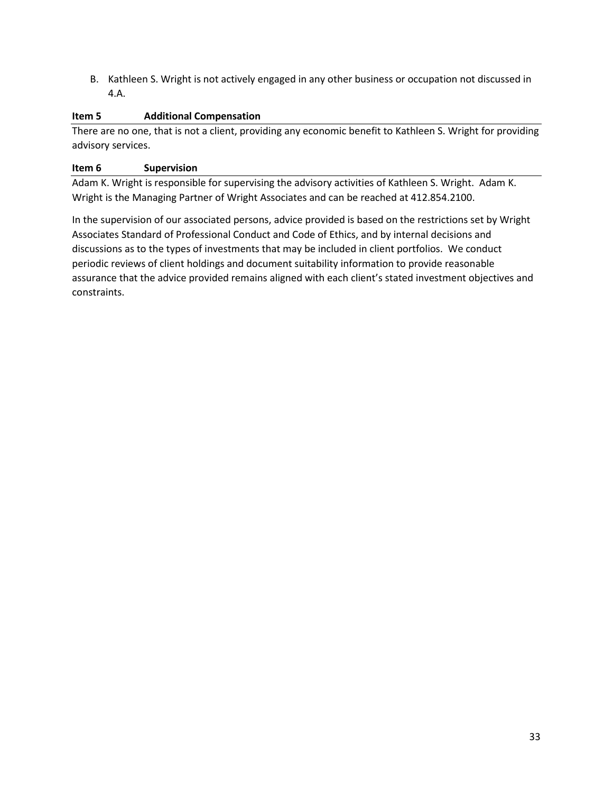B. Kathleen S. Wright is not actively engaged in any other business or occupation not discussed in 4.A.

#### **Item 5 Additional Compensation**

There are no one, that is not a client, providing any economic benefit to Kathleen S. Wright for providing advisory services.

#### **Item 6 Supervision**

Adam K. Wright is responsible for supervising the advisory activities of Kathleen S. Wright. Adam K. Wright is the Managing Partner of Wright Associates and can be reached at 412.854.2100.

In the supervision of our associated persons, advice provided is based on the restrictions set by Wright Associates Standard of Professional Conduct and Code of Ethics, and by internal decisions and discussions as to the types of investments that may be included in client portfolios. We conduct periodic reviews of client holdings and document suitability information to provide reasonable assurance that the advice provided remains aligned with each client's stated investment objectives and constraints.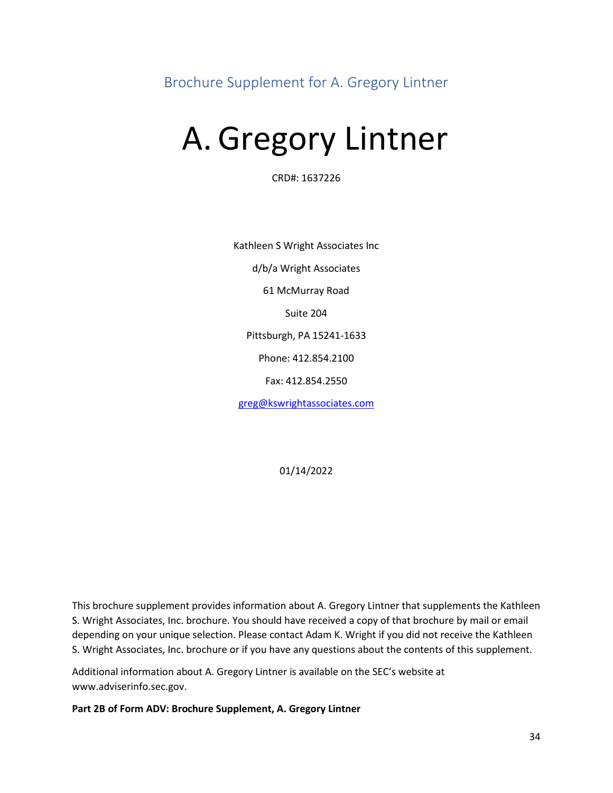<span id="page-34-0"></span>Brochure Supplement for A. Gregory Lintner

# A. Gregory Lintner

CRD#: 1637226

Kathleen S Wright Associates Inc d/b/a Wright Associates 61 McMurray Road Suite 204 Pittsburgh, PA 15241-1633 Phone: 412.854.2100 Fax: 412.854.2550 [greg@kswrightassociates.com](mailto:greg@kswrightassociates.com)

01/14/2022

This brochure supplement provides information about A. Gregory Lintner that supplements the Kathleen S. Wright Associates, Inc. brochure. You should have received a copy of that brochure by mail or email depending on your unique selection. Please contact Adam K. Wright if you did not receive the Kathleen S. Wright Associates, Inc. brochure or if you have any questions about the contents of this supplement.

Additional information about A. Gregory Lintner is available on the SEC's website at www.adviserinfo.sec.gov.

**Part 2B of Form ADV: Brochure Supplement, A. Gregory Lintner**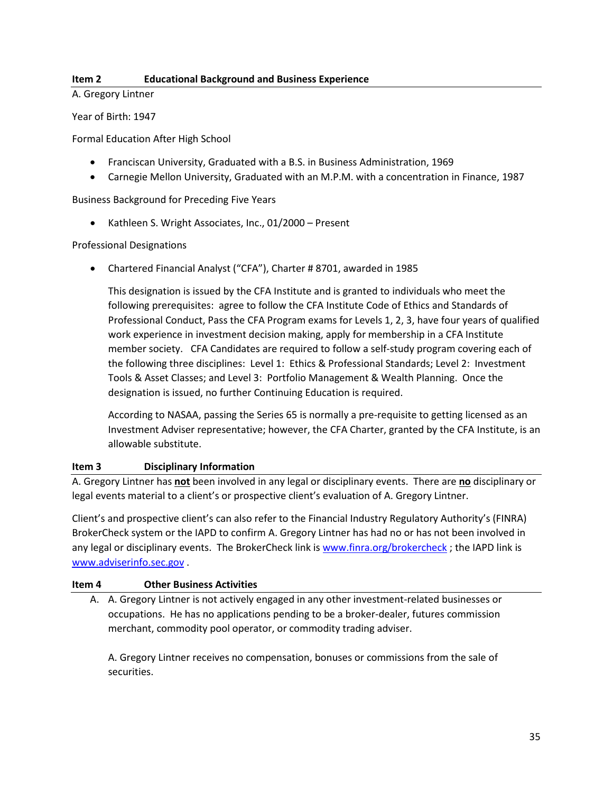#### **Item 2 Educational Background and Business Experience**

A. Gregory Lintner

Year of Birth: 1947

Formal Education After High School

- Franciscan University, Graduated with a B.S. in Business Administration, 1969
- Carnegie Mellon University, Graduated with an M.P.M. with a concentration in Finance, 1987

Business Background for Preceding Five Years

• Kathleen S. Wright Associates, Inc., 01/2000 – Present

#### Professional Designations

• Chartered Financial Analyst ("CFA"), Charter # 8701, awarded in 1985

This designation is issued by the CFA Institute and is granted to individuals who meet the following prerequisites: agree to follow the CFA Institute Code of Ethics and Standards of Professional Conduct, Pass the CFA Program exams for Levels 1, 2, 3, have four years of qualified work experience in investment decision making, apply for membership in a CFA Institute member society. CFA Candidates are required to follow a self-study program covering each of the following three disciplines: Level 1: Ethics & Professional Standards; Level 2: Investment Tools & Asset Classes; and Level 3: Portfolio Management & Wealth Planning. Once the designation is issued, no further Continuing Education is required.

According to NASAA, passing the Series 65 is normally a pre-requisite to getting licensed as an Investment Adviser representative; however, the CFA Charter, granted by the CFA Institute, is an allowable substitute.

#### **Item 3 Disciplinary Information**

A. Gregory Lintner has **not** been involved in any legal or disciplinary events. There are **no** disciplinary or legal events material to a client's or prospective client's evaluation of A. Gregory Lintner.

Client's and prospective client's can also refer to the Financial Industry Regulatory Authority's (FINRA) BrokerCheck system or the IAPD to confirm A. Gregory Lintner has had no or has not been involved in any legal or disciplinary events. The BrokerCheck link is [www.finra.org/brokercheck](http://www.finra.org/brokercheck); the IAPD link is [www.adviserinfo.sec.gov](http://www.adviserinfo.sec.gov/) .

#### **Item 4 Other Business Activities**

A. A. Gregory Lintner is not actively engaged in any other investment-related businesses or occupations. He has no applications pending to be a broker-dealer, futures commission merchant, commodity pool operator, or commodity trading adviser.

A. Gregory Lintner receives no compensation, bonuses or commissions from the sale of securities.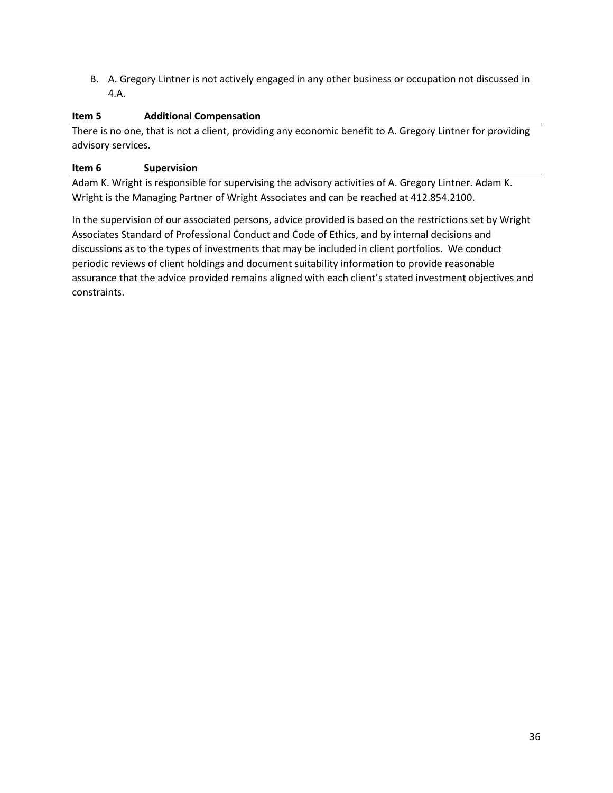B. A. Gregory Lintner is not actively engaged in any other business or occupation not discussed in 4.A.

#### **Item 5 Additional Compensation**

There is no one, that is not a client, providing any economic benefit to A. Gregory Lintner for providing advisory services.

#### **Item 6 Supervision**

Adam K. Wright is responsible for supervising the advisory activities of A. Gregory Lintner. Adam K. Wright is the Managing Partner of Wright Associates and can be reached at 412.854.2100.

In the supervision of our associated persons, advice provided is based on the restrictions set by Wright Associates Standard of Professional Conduct and Code of Ethics, and by internal decisions and discussions as to the types of investments that may be included in client portfolios. We conduct periodic reviews of client holdings and document suitability information to provide reasonable assurance that the advice provided remains aligned with each client's stated investment objectives and constraints.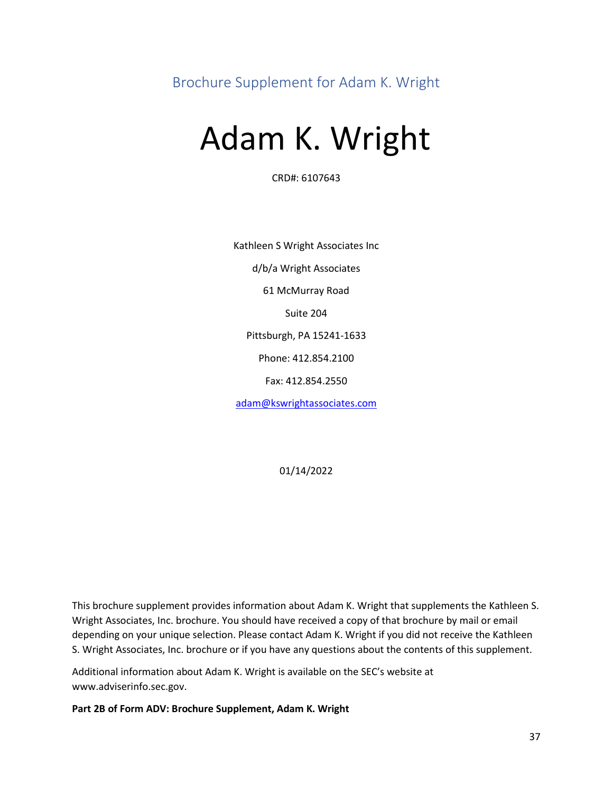<span id="page-37-0"></span>Brochure Supplement for Adam K. Wright

## Adam K. Wright

CRD#: 6107643

Kathleen S Wright Associates Inc d/b/a Wright Associates 61 McMurray Road Suite 204 Pittsburgh, PA 15241-1633 Phone: 412.854.2100 Fax: 412.854.2550 [adam@kswrightassociates.com](mailto:adam@kswrightassociates.com)

01/14/2022

This brochure supplement provides information about Adam K. Wright that supplements the Kathleen S. Wright Associates, Inc. brochure. You should have received a copy of that brochure by mail or email depending on your unique selection. Please contact Adam K. Wright if you did not receive the Kathleen S. Wright Associates, Inc. brochure or if you have any questions about the contents of this supplement.

Additional information about Adam K. Wright is available on the SEC's website at www.adviserinfo.sec.gov.

**Part 2B of Form ADV: Brochure Supplement, Adam K. Wright**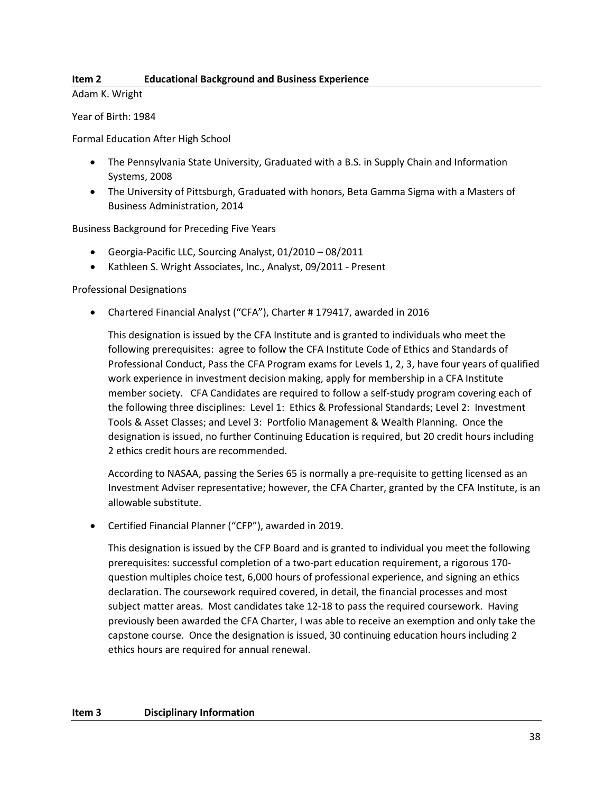#### **Item 2 Educational Background and Business Experience**

Adam K. Wright

Year of Birth: 1984

Formal Education After High School

- The Pennsylvania State University, Graduated with a B.S. in Supply Chain and Information Systems, 2008
- The University of Pittsburgh, Graduated with honors, Beta Gamma Sigma with a Masters of Business Administration, 2014

Business Background for Preceding Five Years

- Georgia-Pacific LLC, Sourcing Analyst, 01/2010 08/2011
- Kathleen S. Wright Associates, Inc., Analyst, 09/2011 Present

Professional Designations

• Chartered Financial Analyst ("CFA"), Charter # 179417, awarded in 2016

This designation is issued by the CFA Institute and is granted to individuals who meet the following prerequisites: agree to follow the CFA Institute Code of Ethics and Standards of Professional Conduct, Pass the CFA Program exams for Levels 1, 2, 3, have four years of qualified work experience in investment decision making, apply for membership in a CFA Institute member society. CFA Candidates are required to follow a self-study program covering each of the following three disciplines: Level 1: Ethics & Professional Standards; Level 2: Investment Tools & Asset Classes; and Level 3: Portfolio Management & Wealth Planning. Once the designation is issued, no further Continuing Education is required, but 20 credit hours including 2 ethics credit hours are recommended.

According to NASAA, passing the Series 65 is normally a pre-requisite to getting licensed as an Investment Adviser representative; however, the CFA Charter, granted by the CFA Institute, is an allowable substitute.

• Certified Financial Planner ("CFP"), awarded in 2019.

This designation is issued by the CFP Board and is granted to individual you meet the following prerequisites: successful completion of a two-part education requirement, a rigorous 170 question multiples choice test, 6,000 hours of professional experience, and signing an ethics declaration. The coursework required covered, in detail, the financial processes and most subject matter areas. Most candidates take 12-18 to pass the required coursework. Having previously been awarded the CFA Charter, I was able to receive an exemption and only take the capstone course. Once the designation is issued, 30 continuing education hours including 2 ethics hours are required for annual renewal.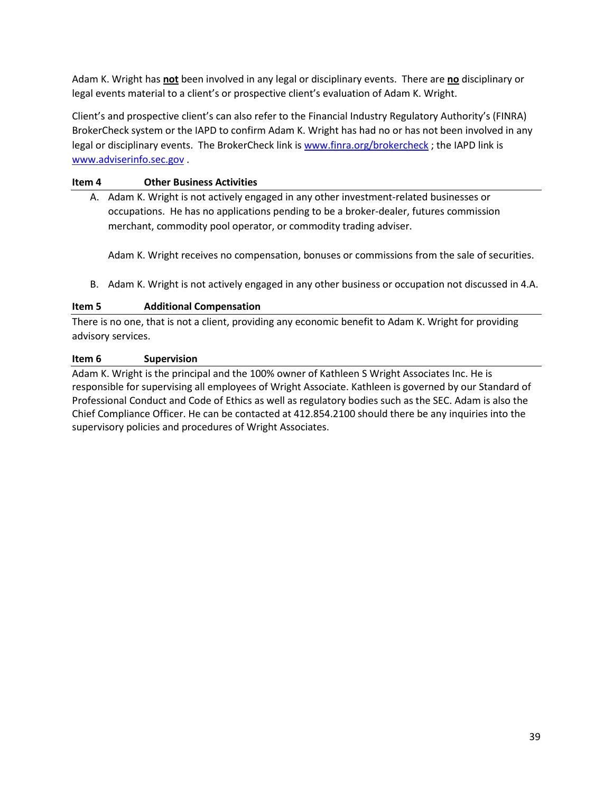Adam K. Wright has **not** been involved in any legal or disciplinary events. There are **no** disciplinary or legal events material to a client's or prospective client's evaluation of Adam K. Wright.

Client's and prospective client's can also refer to the Financial Industry Regulatory Authority's (FINRA) BrokerCheck system or the IAPD to confirm Adam K. Wright has had no or has not been involved in any legal or disciplinary events. The BrokerCheck link is [www.finra.org/brokercheck](http://www.finra.org/brokercheck) ; the IAPD link is [www.adviserinfo.sec.gov](http://www.adviserinfo.sec.gov/) .

#### **Item 4 Other Business Activities**

A. Adam K. Wright is not actively engaged in any other investment-related businesses or occupations. He has no applications pending to be a broker-dealer, futures commission merchant, commodity pool operator, or commodity trading adviser.

Adam K. Wright receives no compensation, bonuses or commissions from the sale of securities.

B. Adam K. Wright is not actively engaged in any other business or occupation not discussed in 4.A.

#### **Item 5 Additional Compensation**

There is no one, that is not a client, providing any economic benefit to Adam K. Wright for providing advisory services.

#### **Item 6 Supervision**

Adam K. Wright is the principal and the 100% owner of Kathleen S Wright Associates Inc. He is responsible for supervising all employees of Wright Associate. Kathleen is governed by our Standard of Professional Conduct and Code of Ethics as well as regulatory bodies such as the SEC. Adam is also the Chief Compliance Officer. He can be contacted at 412.854.2100 should there be any inquiries into the supervisory policies and procedures of Wright Associates.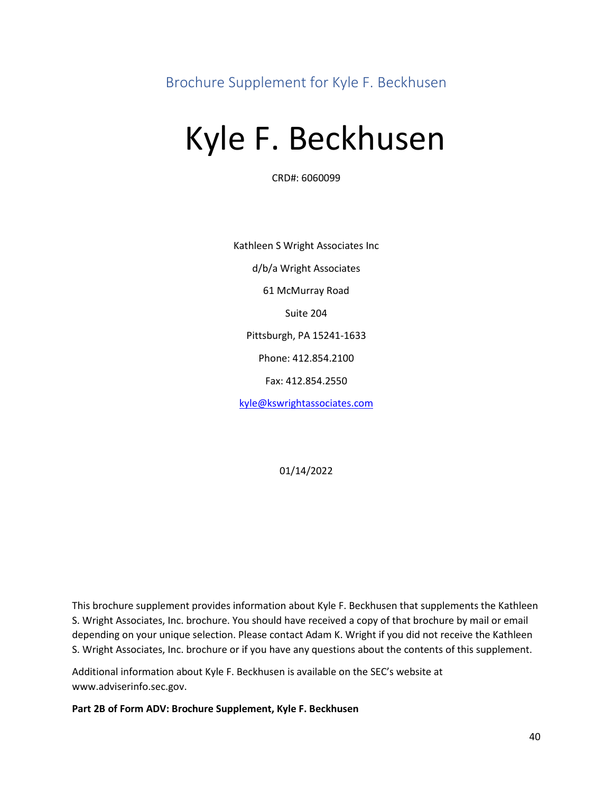<span id="page-40-0"></span>Brochure Supplement for Kyle F. Beckhusen

# Kyle F. Beckhusen

CRD#: 6060099

Kathleen S Wright Associates Inc d/b/a Wright Associates 61 McMurray Road Suite 204 Pittsburgh, PA 15241-1633 Phone: 412.854.2100 Fax: 412.854.2550 [kyle@kswrightassociates.com](mailto:kyle@kswrightassociates.com)

01/14/2022

This brochure supplement provides information about Kyle F. Beckhusen that supplements the Kathleen S. Wright Associates, Inc. brochure. You should have received a copy of that brochure by mail or email depending on your unique selection. Please contact Adam K. Wright if you did not receive the Kathleen S. Wright Associates, Inc. brochure or if you have any questions about the contents of this supplement.

Additional information about Kyle F. Beckhusen is available on the SEC's website at www.adviserinfo.sec.gov.

**Part 2B of Form ADV: Brochure Supplement, Kyle F. Beckhusen**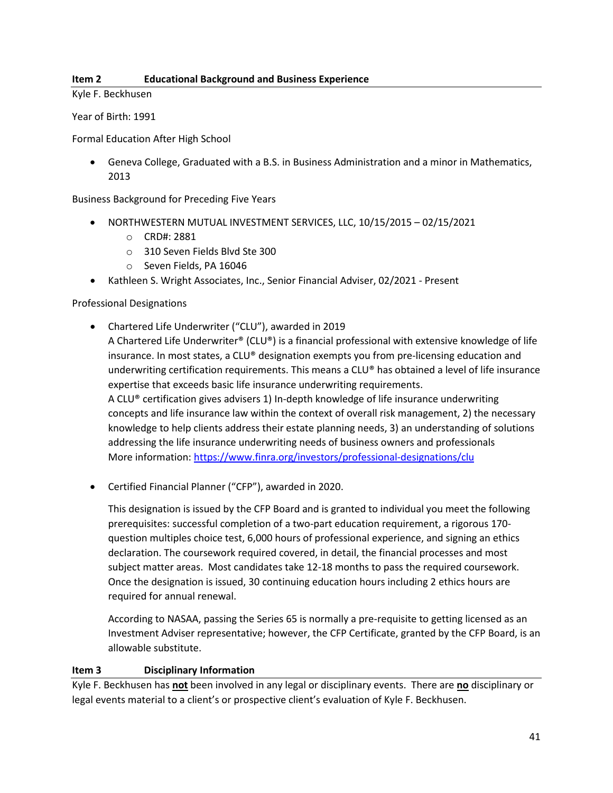#### **Item 2 Educational Background and Business Experience**

Kyle F. Beckhusen

Year of Birth: 1991

Formal Education After High School

• Geneva College, Graduated with a B.S. in Business Administration and a minor in Mathematics, 2013

Business Background for Preceding Five Years

- NORTHWESTERN MUTUAL INVESTMENT SERVICES, LLC, 10/15/2015 02/15/2021
	- o CRD#: 2881
	- o 310 Seven Fields Blvd Ste 300
	- o Seven Fields, PA 16046
- Kathleen S. Wright Associates, Inc., Senior Financial Adviser, 02/2021 Present

Professional Designations

- Chartered Life Underwriter ("CLU"), awarded in 2019 A Chartered Life Underwriter® (CLU®) is a financial professional with extensive knowledge of life insurance. In most states, a CLU® designation exempts you from pre-licensing education and underwriting certification requirements. This means a CLU® has obtained a level of life insurance expertise that exceeds basic life insurance underwriting requirements. A CLU® certification gives advisers 1) In-depth knowledge of life insurance underwriting concepts and life insurance law within the context of overall risk management, 2) the necessary knowledge to help clients address their estate planning needs, 3) an understanding of solutions addressing the life insurance underwriting needs of business owners and professionals More information[: https://www.finra.org/investors/professional-designations/clu](https://www.finra.org/investors/professional-designations/clu)
- Certified Financial Planner ("CFP"), awarded in 2020.

This designation is issued by the CFP Board and is granted to individual you meet the following prerequisites: successful completion of a two-part education requirement, a rigorous 170 question multiples choice test, 6,000 hours of professional experience, and signing an ethics declaration. The coursework required covered, in detail, the financial processes and most subject matter areas. Most candidates take 12-18 months to pass the required coursework. Once the designation is issued, 30 continuing education hours including 2 ethics hours are required for annual renewal.

According to NASAA, passing the Series 65 is normally a pre-requisite to getting licensed as an Investment Adviser representative; however, the CFP Certificate, granted by the CFP Board, is an allowable substitute.

#### **Item 3 Disciplinary Information**

Kyle F. Beckhusen has **not** been involved in any legal or disciplinary events. There are **no** disciplinary or legal events material to a client's or prospective client's evaluation of Kyle F. Beckhusen.